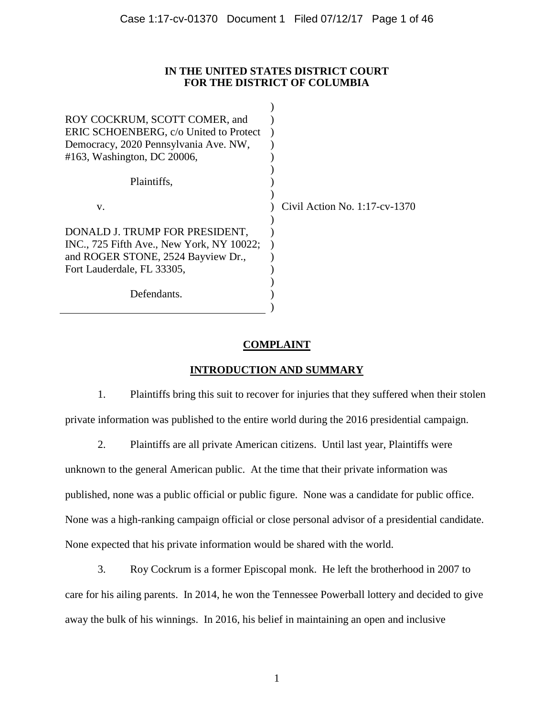### **IN THE UNITED STATES DISTRICT COURT FOR THE DISTRICT OF COLUMBIA**

| ROY COCKRUM, SCOTT COMER, and<br>ERIC SCHOENBERG, c/o United to Protect<br>Democracy, 2020 Pennsylvania Ave. NW,<br>#163, Washington, DC 20006, |                               |
|-------------------------------------------------------------------------------------------------------------------------------------------------|-------------------------------|
| Plaintiffs,                                                                                                                                     |                               |
| V.                                                                                                                                              | Civil Action No. 1:17-cv-1370 |
| DONALD J. TRUMP FOR PRESIDENT,<br>INC., 725 Fifth Ave., New York, NY 10022;<br>and ROGER STONE, 2524 Bayview Dr.,<br>Fort Lauderdale, FL 33305, |                               |
| Defendants.                                                                                                                                     |                               |

# **COMPLAINT**

# **INTRODUCTION AND SUMMARY**

1. Plaintiffs bring this suit to recover for injuries that they suffered when their stolen private information was published to the entire world during the 2016 presidential campaign.

2. Plaintiffs are all private American citizens. Until last year, Plaintiffs were unknown to the general American public. At the time that their private information was published, none was a public official or public figure. None was a candidate for public office. None was a high-ranking campaign official or close personal advisor of a presidential candidate. None expected that his private information would be shared with the world.

3. Roy Cockrum is a former Episcopal monk. He left the brotherhood in 2007 to care for his ailing parents. In 2014, he won the Tennessee Powerball lottery and decided to give away the bulk of his winnings. In 2016, his belief in maintaining an open and inclusive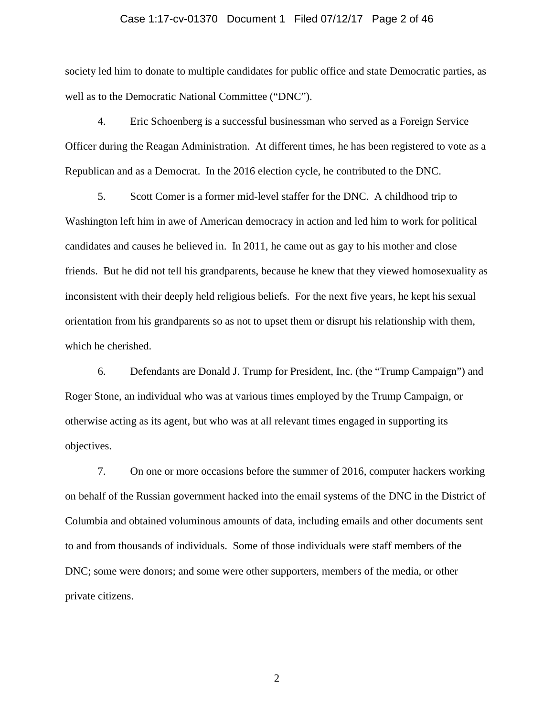### Case 1:17-cv-01370 Document 1 Filed 07/12/17 Page 2 of 46

society led him to donate to multiple candidates for public office and state Democratic parties, as well as to the Democratic National Committee ("DNC").

4. Eric Schoenberg is a successful businessman who served as a Foreign Service Officer during the Reagan Administration. At different times, he has been registered to vote as a Republican and as a Democrat. In the 2016 election cycle, he contributed to the DNC.

5. Scott Comer is a former mid-level staffer for the DNC. A childhood trip to Washington left him in awe of American democracy in action and led him to work for political candidates and causes he believed in. In 2011, he came out as gay to his mother and close friends. But he did not tell his grandparents, because he knew that they viewed homosexuality as inconsistent with their deeply held religious beliefs. For the next five years, he kept his sexual orientation from his grandparents so as not to upset them or disrupt his relationship with them, which he cherished.

6. Defendants are Donald J. Trump for President, Inc. (the "Trump Campaign") and Roger Stone, an individual who was at various times employed by the Trump Campaign, or otherwise acting as its agent, but who was at all relevant times engaged in supporting its objectives.

7. On one or more occasions before the summer of 2016, computer hackers working on behalf of the Russian government hacked into the email systems of the DNC in the District of Columbia and obtained voluminous amounts of data, including emails and other documents sent to and from thousands of individuals. Some of those individuals were staff members of the DNC; some were donors; and some were other supporters, members of the media, or other private citizens.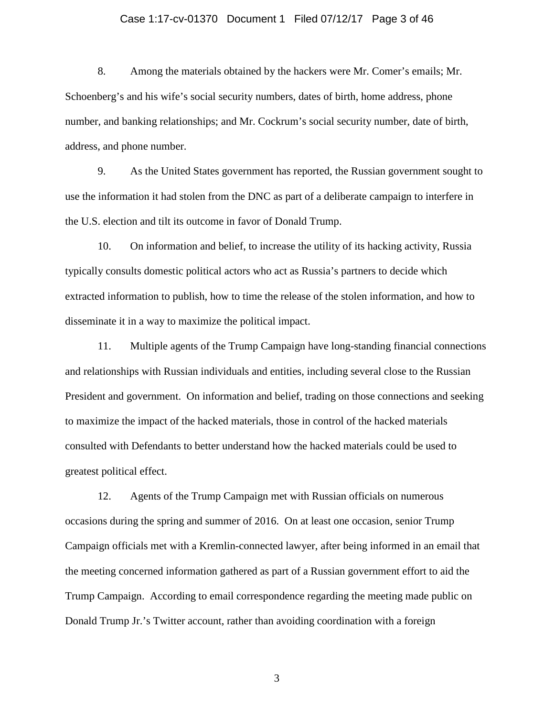### Case 1:17-cv-01370 Document 1 Filed 07/12/17 Page 3 of 46

8. Among the materials obtained by the hackers were Mr. Comer's emails; Mr. Schoenberg's and his wife's social security numbers, dates of birth, home address, phone number, and banking relationships; and Mr. Cockrum's social security number, date of birth, address, and phone number.

9. As the United States government has reported, the Russian government sought to use the information it had stolen from the DNC as part of a deliberate campaign to interfere in the U.S. election and tilt its outcome in favor of Donald Trump.

10. On information and belief, to increase the utility of its hacking activity, Russia typically consults domestic political actors who act as Russia's partners to decide which extracted information to publish, how to time the release of the stolen information, and how to disseminate it in a way to maximize the political impact.

11. Multiple agents of the Trump Campaign have long-standing financial connections and relationships with Russian individuals and entities, including several close to the Russian President and government. On information and belief, trading on those connections and seeking to maximize the impact of the hacked materials, those in control of the hacked materials consulted with Defendants to better understand how the hacked materials could be used to greatest political effect.

12. Agents of the Trump Campaign met with Russian officials on numerous occasions during the spring and summer of 2016. On at least one occasion, senior Trump Campaign officials met with a Kremlin-connected lawyer, after being informed in an email that the meeting concerned information gathered as part of a Russian government effort to aid the Trump Campaign. According to email correspondence regarding the meeting made public on Donald Trump Jr.'s Twitter account, rather than avoiding coordination with a foreign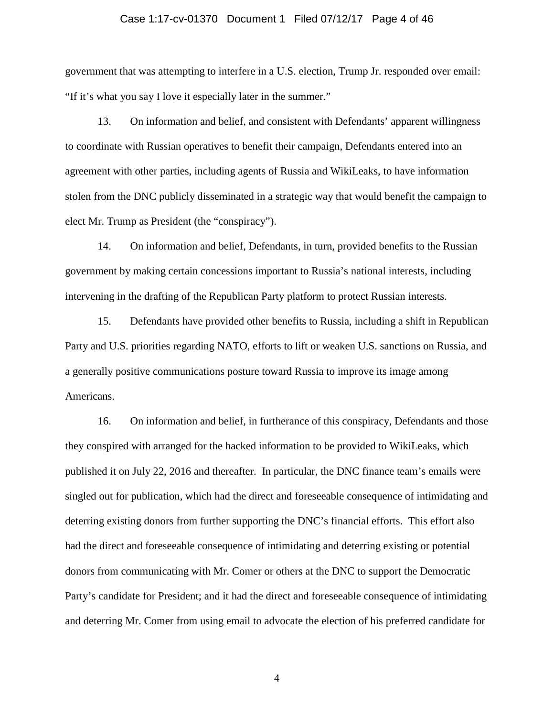#### Case 1:17-cv-01370 Document 1 Filed 07/12/17 Page 4 of 46

government that was attempting to interfere in a U.S. election, Trump Jr. responded over email: "If it's what you say I love it especially later in the summer."

13. On information and belief, and consistent with Defendants' apparent willingness to coordinate with Russian operatives to benefit their campaign, Defendants entered into an agreement with other parties, including agents of Russia and WikiLeaks, to have information stolen from the DNC publicly disseminated in a strategic way that would benefit the campaign to elect Mr. Trump as President (the "conspiracy").

14. On information and belief, Defendants, in turn, provided benefits to the Russian government by making certain concessions important to Russia's national interests, including intervening in the drafting of the Republican Party platform to protect Russian interests.

15. Defendants have provided other benefits to Russia, including a shift in Republican Party and U.S. priorities regarding NATO, efforts to lift or weaken U.S. sanctions on Russia, and a generally positive communications posture toward Russia to improve its image among Americans.

16. On information and belief, in furtherance of this conspiracy, Defendants and those they conspired with arranged for the hacked information to be provided to WikiLeaks, which published it on July 22, 2016 and thereafter. In particular, the DNC finance team's emails were singled out for publication, which had the direct and foreseeable consequence of intimidating and deterring existing donors from further supporting the DNC's financial efforts. This effort also had the direct and foreseeable consequence of intimidating and deterring existing or potential donors from communicating with Mr. Comer or others at the DNC to support the Democratic Party's candidate for President; and it had the direct and foreseeable consequence of intimidating and deterring Mr. Comer from using email to advocate the election of his preferred candidate for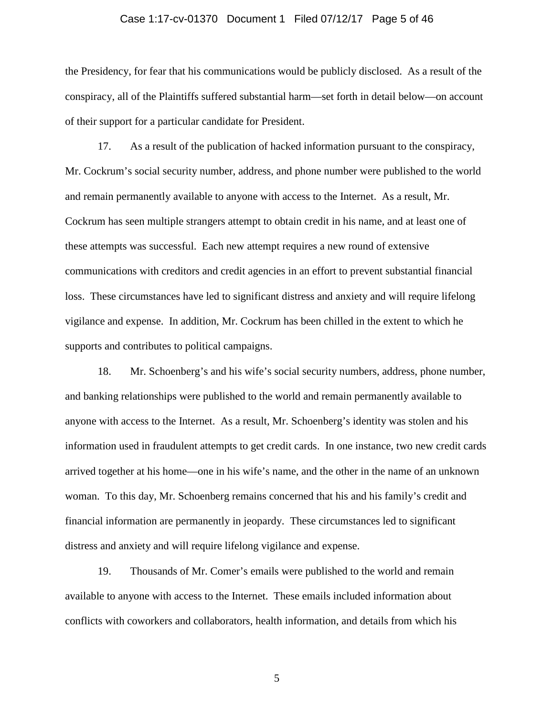### Case 1:17-cv-01370 Document 1 Filed 07/12/17 Page 5 of 46

the Presidency, for fear that his communications would be publicly disclosed. As a result of the conspiracy, all of the Plaintiffs suffered substantial harm—set forth in detail below—on account of their support for a particular candidate for President.

17. As a result of the publication of hacked information pursuant to the conspiracy, Mr. Cockrum's social security number, address, and phone number were published to the world and remain permanently available to anyone with access to the Internet. As a result, Mr. Cockrum has seen multiple strangers attempt to obtain credit in his name, and at least one of these attempts was successful. Each new attempt requires a new round of extensive communications with creditors and credit agencies in an effort to prevent substantial financial loss. These circumstances have led to significant distress and anxiety and will require lifelong vigilance and expense. In addition, Mr. Cockrum has been chilled in the extent to which he supports and contributes to political campaigns.

18. Mr. Schoenberg's and his wife's social security numbers, address, phone number, and banking relationships were published to the world and remain permanently available to anyone with access to the Internet. As a result, Mr. Schoenberg's identity was stolen and his information used in fraudulent attempts to get credit cards. In one instance, two new credit cards arrived together at his home—one in his wife's name, and the other in the name of an unknown woman. To this day, Mr. Schoenberg remains concerned that his and his family's credit and financial information are permanently in jeopardy. These circumstances led to significant distress and anxiety and will require lifelong vigilance and expense.

19. Thousands of Mr. Comer's emails were published to the world and remain available to anyone with access to the Internet. These emails included information about conflicts with coworkers and collaborators, health information, and details from which his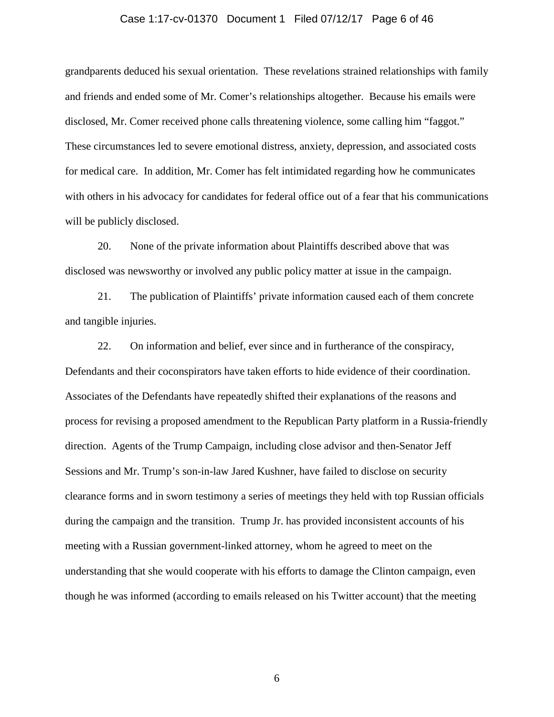#### Case 1:17-cv-01370 Document 1 Filed 07/12/17 Page 6 of 46

grandparents deduced his sexual orientation. These revelations strained relationships with family and friends and ended some of Mr. Comer's relationships altogether. Because his emails were disclosed, Mr. Comer received phone calls threatening violence, some calling him "faggot." These circumstances led to severe emotional distress, anxiety, depression, and associated costs for medical care. In addition, Mr. Comer has felt intimidated regarding how he communicates with others in his advocacy for candidates for federal office out of a fear that his communications will be publicly disclosed.

20. None of the private information about Plaintiffs described above that was disclosed was newsworthy or involved any public policy matter at issue in the campaign.

21. The publication of Plaintiffs' private information caused each of them concrete and tangible injuries.

22. On information and belief, ever since and in furtherance of the conspiracy, Defendants and their coconspirators have taken efforts to hide evidence of their coordination. Associates of the Defendants have repeatedly shifted their explanations of the reasons and process for revising a proposed amendment to the Republican Party platform in a Russia-friendly direction. Agents of the Trump Campaign, including close advisor and then-Senator Jeff Sessions and Mr. Trump's son-in-law Jared Kushner, have failed to disclose on security clearance forms and in sworn testimony a series of meetings they held with top Russian officials during the campaign and the transition. Trump Jr. has provided inconsistent accounts of his meeting with a Russian government-linked attorney, whom he agreed to meet on the understanding that she would cooperate with his efforts to damage the Clinton campaign, even though he was informed (according to emails released on his Twitter account) that the meeting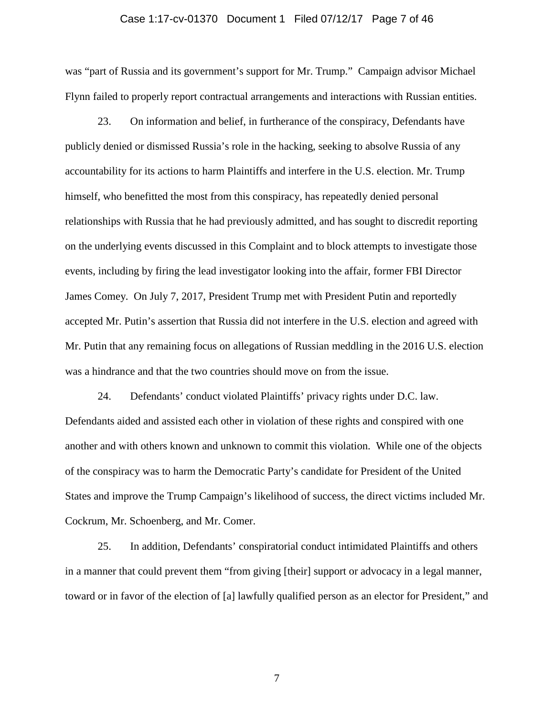#### Case 1:17-cv-01370 Document 1 Filed 07/12/17 Page 7 of 46

was "part of Russia and its government's support for Mr. Trump." Campaign advisor Michael Flynn failed to properly report contractual arrangements and interactions with Russian entities.

23. On information and belief, in furtherance of the conspiracy, Defendants have publicly denied or dismissed Russia's role in the hacking, seeking to absolve Russia of any accountability for its actions to harm Plaintiffs and interfere in the U.S. election. Mr. Trump himself, who benefitted the most from this conspiracy, has repeatedly denied personal relationships with Russia that he had previously admitted, and has sought to discredit reporting on the underlying events discussed in this Complaint and to block attempts to investigate those events, including by firing the lead investigator looking into the affair, former FBI Director James Comey. On July 7, 2017, President Trump met with President Putin and reportedly accepted Mr. Putin's assertion that Russia did not interfere in the U.S. election and agreed with Mr. Putin that any remaining focus on allegations of Russian meddling in the 2016 U.S. election was a hindrance and that the two countries should move on from the issue.

24. Defendants' conduct violated Plaintiffs' privacy rights under D.C. law. Defendants aided and assisted each other in violation of these rights and conspired with one another and with others known and unknown to commit this violation. While one of the objects of the conspiracy was to harm the Democratic Party's candidate for President of the United States and improve the Trump Campaign's likelihood of success, the direct victims included Mr. Cockrum, Mr. Schoenberg, and Mr. Comer.

25. In addition, Defendants' conspiratorial conduct intimidated Plaintiffs and others in a manner that could prevent them "from giving [their] support or advocacy in a legal manner, toward or in favor of the election of [a] lawfully qualified person as an elector for President," and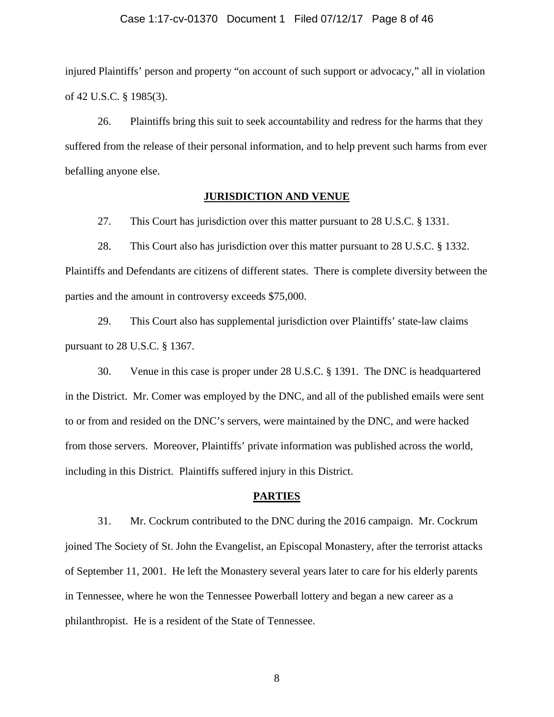#### Case 1:17-cv-01370 Document 1 Filed 07/12/17 Page 8 of 46

injured Plaintiffs' person and property "on account of such support or advocacy," all in violation of 42 U.S.C. § 1985(3).

26. Plaintiffs bring this suit to seek accountability and redress for the harms that they suffered from the release of their personal information, and to help prevent such harms from ever befalling anyone else.

### **JURISDICTION AND VENUE**

27. This Court has jurisdiction over this matter pursuant to 28 U.S.C. § 1331.

28. This Court also has jurisdiction over this matter pursuant to 28 U.S.C. § 1332. Plaintiffs and Defendants are citizens of different states. There is complete diversity between the parties and the amount in controversy exceeds \$75,000.

29. This Court also has supplemental jurisdiction over Plaintiffs' state-law claims pursuant to 28 U.S.C. § 1367.

30. Venue in this case is proper under 28 U.S.C. § 1391. The DNC is headquartered in the District. Mr. Comer was employed by the DNC, and all of the published emails were sent to or from and resided on the DNC's servers, were maintained by the DNC, and were hacked from those servers. Moreover, Plaintiffs' private information was published across the world, including in this District. Plaintiffs suffered injury in this District.

### **PARTIES**

31. Mr. Cockrum contributed to the DNC during the 2016 campaign. Mr. Cockrum joined The Society of St. John the Evangelist, an Episcopal Monastery, after the terrorist attacks of September 11, 2001. He left the Monastery several years later to care for his elderly parents in Tennessee, where he won the Tennessee Powerball lottery and began a new career as a philanthropist. He is a resident of the State of Tennessee.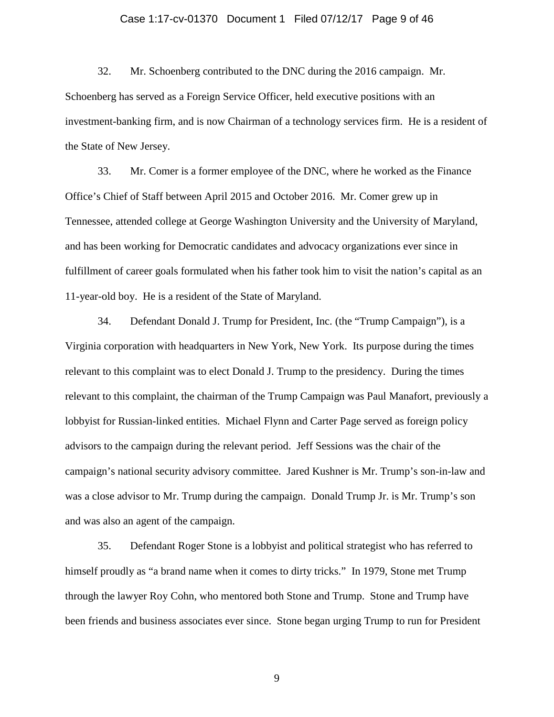### Case 1:17-cv-01370 Document 1 Filed 07/12/17 Page 9 of 46

32. Mr. Schoenberg contributed to the DNC during the 2016 campaign. Mr. Schoenberg has served as a Foreign Service Officer, held executive positions with an investment-banking firm, and is now Chairman of a technology services firm. He is a resident of the State of New Jersey.

33. Mr. Comer is a former employee of the DNC, where he worked as the Finance Office's Chief of Staff between April 2015 and October 2016. Mr. Comer grew up in Tennessee, attended college at George Washington University and the University of Maryland, and has been working for Democratic candidates and advocacy organizations ever since in fulfillment of career goals formulated when his father took him to visit the nation's capital as an 11-year-old boy. He is a resident of the State of Maryland.

34. Defendant Donald J. Trump for President, Inc. (the "Trump Campaign"), is a Virginia corporation with headquarters in New York, New York. Its purpose during the times relevant to this complaint was to elect Donald J. Trump to the presidency. During the times relevant to this complaint, the chairman of the Trump Campaign was Paul Manafort, previously a lobbyist for Russian-linked entities. Michael Flynn and Carter Page served as foreign policy advisors to the campaign during the relevant period. Jeff Sessions was the chair of the campaign's national security advisory committee. Jared Kushner is Mr. Trump's son-in-law and was a close advisor to Mr. Trump during the campaign. Donald Trump Jr. is Mr. Trump's son and was also an agent of the campaign.

35. Defendant Roger Stone is a lobbyist and political strategist who has referred to himself proudly as "a brand name when it comes to dirty tricks." In 1979, Stone met Trump through the lawyer Roy Cohn, who mentored both Stone and Trump. Stone and Trump have been friends and business associates ever since. Stone began urging Trump to run for President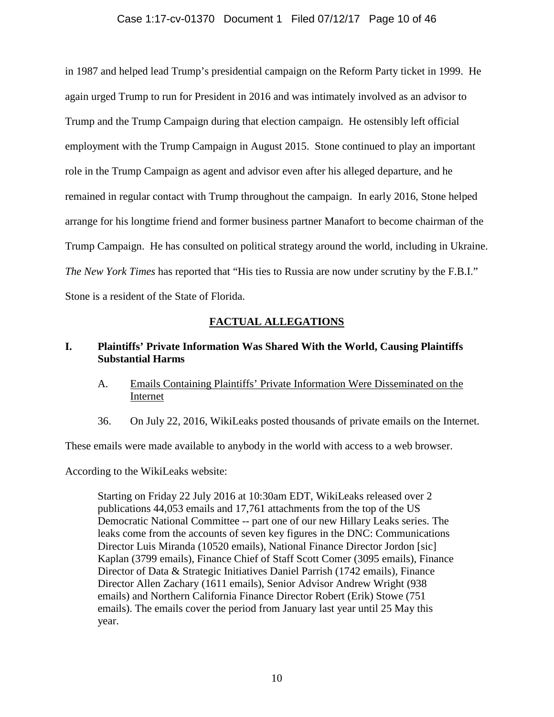### Case 1:17-cv-01370 Document 1 Filed 07/12/17 Page 10 of 46

in 1987 and helped lead Trump's presidential campaign on the Reform Party ticket in 1999. He again urged Trump to run for President in 2016 and was intimately involved as an advisor to Trump and the Trump Campaign during that election campaign. He ostensibly left official employment with the Trump Campaign in August 2015. Stone continued to play an important role in the Trump Campaign as agent and advisor even after his alleged departure, and he remained in regular contact with Trump throughout the campaign. In early 2016, Stone helped arrange for his longtime friend and former business partner Manafort to become chairman of the Trump Campaign. He has consulted on political strategy around the world, including in Ukraine. *The New York Times* has reported that "His ties to Russia are now under scrutiny by the F.B.I." Stone is a resident of the State of Florida.

### **FACTUAL ALLEGATIONS**

## **I. Plaintiffs' Private Information Was Shared With the World, Causing Plaintiffs Substantial Harms**

- A. Emails Containing Plaintiffs' Private Information Were Disseminated on the Internet
- 36. On July 22, 2016, WikiLeaks posted thousands of private emails on the Internet.

These emails were made available to anybody in the world with access to a web browser.

According to the WikiLeaks website:

Starting on Friday 22 July 2016 at 10:30am EDT, WikiLeaks released over 2 publications 44,053 emails and 17,761 attachments from the top of the US Democratic National Committee -- part one of our new Hillary Leaks series. The leaks come from the accounts of seven key figures in the DNC: Communications Director Luis Miranda (10520 emails), National Finance Director Jordon [sic] Kaplan (3799 emails), Finance Chief of Staff Scott Comer (3095 emails), Finance Director of Data & Strategic Initiatives Daniel Parrish (1742 emails), Finance Director Allen Zachary (1611 emails), Senior Advisor Andrew Wright (938 emails) and Northern California Finance Director Robert (Erik) Stowe (751 emails). The emails cover the period from January last year until 25 May this year.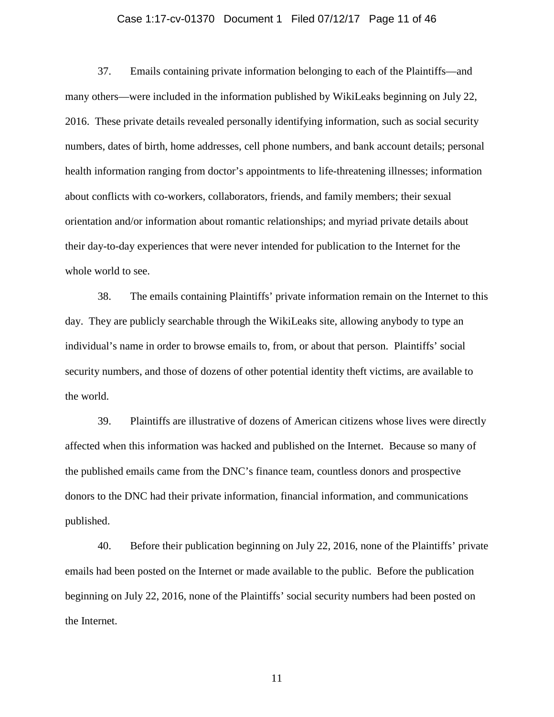### Case 1:17-cv-01370 Document 1 Filed 07/12/17 Page 11 of 46

37. Emails containing private information belonging to each of the Plaintiffs—and many others—were included in the information published by WikiLeaks beginning on July 22, 2016. These private details revealed personally identifying information, such as social security numbers, dates of birth, home addresses, cell phone numbers, and bank account details; personal health information ranging from doctor's appointments to life-threatening illnesses; information about conflicts with co-workers, collaborators, friends, and family members; their sexual orientation and/or information about romantic relationships; and myriad private details about their day-to-day experiences that were never intended for publication to the Internet for the whole world to see.

38. The emails containing Plaintiffs' private information remain on the Internet to this day. They are publicly searchable through the WikiLeaks site, allowing anybody to type an individual's name in order to browse emails to, from, or about that person. Plaintiffs' social security numbers, and those of dozens of other potential identity theft victims, are available to the world.

39. Plaintiffs are illustrative of dozens of American citizens whose lives were directly affected when this information was hacked and published on the Internet. Because so many of the published emails came from the DNC's finance team, countless donors and prospective donors to the DNC had their private information, financial information, and communications published.

40. Before their publication beginning on July 22, 2016, none of the Plaintiffs' private emails had been posted on the Internet or made available to the public. Before the publication beginning on July 22, 2016, none of the Plaintiffs' social security numbers had been posted on the Internet.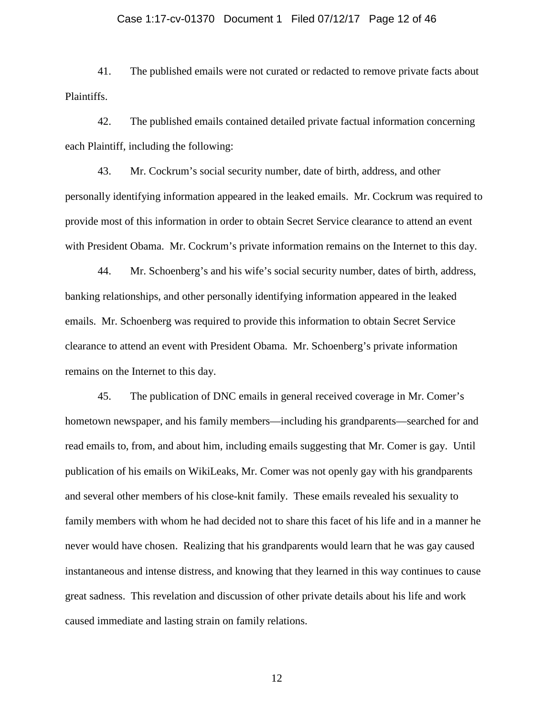## Case 1:17-cv-01370 Document 1 Filed 07/12/17 Page 12 of 46

41. The published emails were not curated or redacted to remove private facts about Plaintiffs.

42. The published emails contained detailed private factual information concerning each Plaintiff, including the following:

43. Mr. Cockrum's social security number, date of birth, address, and other personally identifying information appeared in the leaked emails. Mr. Cockrum was required to provide most of this information in order to obtain Secret Service clearance to attend an event with President Obama. Mr. Cockrum's private information remains on the Internet to this day.

44. Mr. Schoenberg's and his wife's social security number, dates of birth, address, banking relationships, and other personally identifying information appeared in the leaked emails. Mr. Schoenberg was required to provide this information to obtain Secret Service clearance to attend an event with President Obama. Mr. Schoenberg's private information remains on the Internet to this day.

45. The publication of DNC emails in general received coverage in Mr. Comer's hometown newspaper, and his family members—including his grandparents—searched for and read emails to, from, and about him, including emails suggesting that Mr. Comer is gay. Until publication of his emails on WikiLeaks, Mr. Comer was not openly gay with his grandparents and several other members of his close-knit family. These emails revealed his sexuality to family members with whom he had decided not to share this facet of his life and in a manner he never would have chosen. Realizing that his grandparents would learn that he was gay caused instantaneous and intense distress, and knowing that they learned in this way continues to cause great sadness. This revelation and discussion of other private details about his life and work caused immediate and lasting strain on family relations.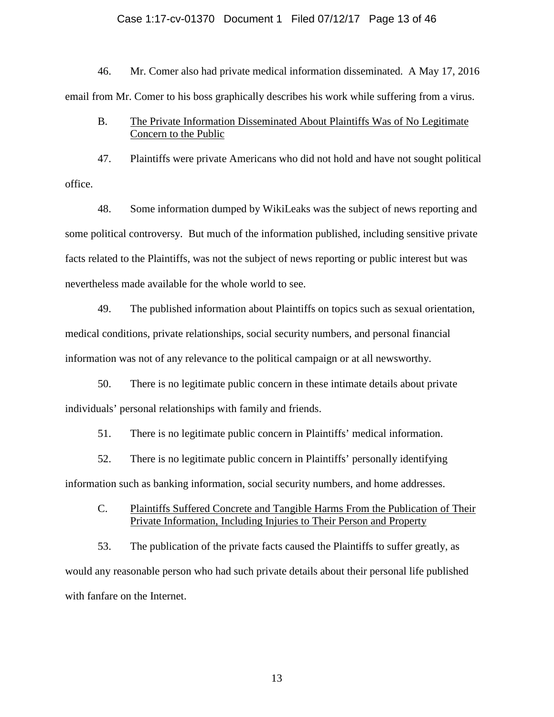### Case 1:17-cv-01370 Document 1 Filed 07/12/17 Page 13 of 46

46. Mr. Comer also had private medical information disseminated. A May 17, 2016 email from Mr. Comer to his boss graphically describes his work while suffering from a virus.

## B. The Private Information Disseminated About Plaintiffs Was of No Legitimate Concern to the Public

47. Plaintiffs were private Americans who did not hold and have not sought political office.

48. Some information dumped by WikiLeaks was the subject of news reporting and some political controversy. But much of the information published, including sensitive private facts related to the Plaintiffs, was not the subject of news reporting or public interest but was nevertheless made available for the whole world to see.

49. The published information about Plaintiffs on topics such as sexual orientation, medical conditions, private relationships, social security numbers, and personal financial information was not of any relevance to the political campaign or at all newsworthy.

50. There is no legitimate public concern in these intimate details about private individuals' personal relationships with family and friends.

51. There is no legitimate public concern in Plaintiffs' medical information.

52. There is no legitimate public concern in Plaintiffs' personally identifying information such as banking information, social security numbers, and home addresses.

C. Plaintiffs Suffered Concrete and Tangible Harms From the Publication of Their Private Information, Including Injuries to Their Person and Property

53. The publication of the private facts caused the Plaintiffs to suffer greatly, as would any reasonable person who had such private details about their personal life published with fanfare on the Internet.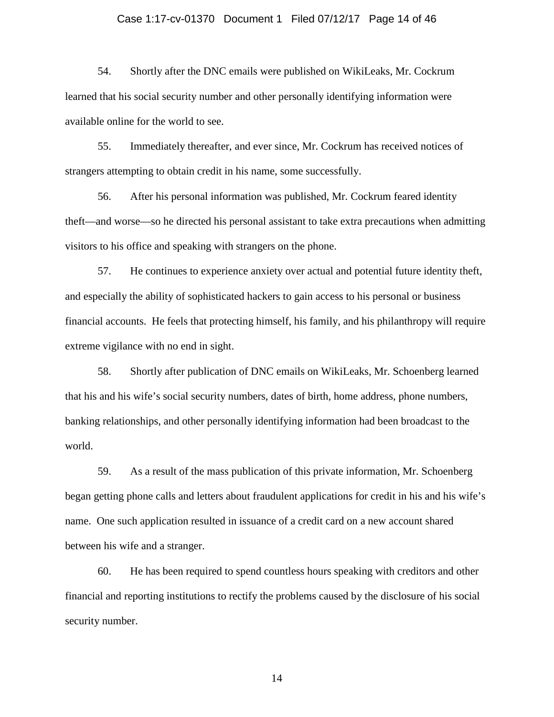### Case 1:17-cv-01370 Document 1 Filed 07/12/17 Page 14 of 46

54. Shortly after the DNC emails were published on WikiLeaks, Mr. Cockrum learned that his social security number and other personally identifying information were available online for the world to see.

55. Immediately thereafter, and ever since, Mr. Cockrum has received notices of strangers attempting to obtain credit in his name, some successfully.

56. After his personal information was published, Mr. Cockrum feared identity theft—and worse—so he directed his personal assistant to take extra precautions when admitting visitors to his office and speaking with strangers on the phone.

57. He continues to experience anxiety over actual and potential future identity theft, and especially the ability of sophisticated hackers to gain access to his personal or business financial accounts. He feels that protecting himself, his family, and his philanthropy will require extreme vigilance with no end in sight.

58. Shortly after publication of DNC emails on WikiLeaks, Mr. Schoenberg learned that his and his wife's social security numbers, dates of birth, home address, phone numbers, banking relationships, and other personally identifying information had been broadcast to the world.

59. As a result of the mass publication of this private information, Mr. Schoenberg began getting phone calls and letters about fraudulent applications for credit in his and his wife's name. One such application resulted in issuance of a credit card on a new account shared between his wife and a stranger.

60. He has been required to spend countless hours speaking with creditors and other financial and reporting institutions to rectify the problems caused by the disclosure of his social security number.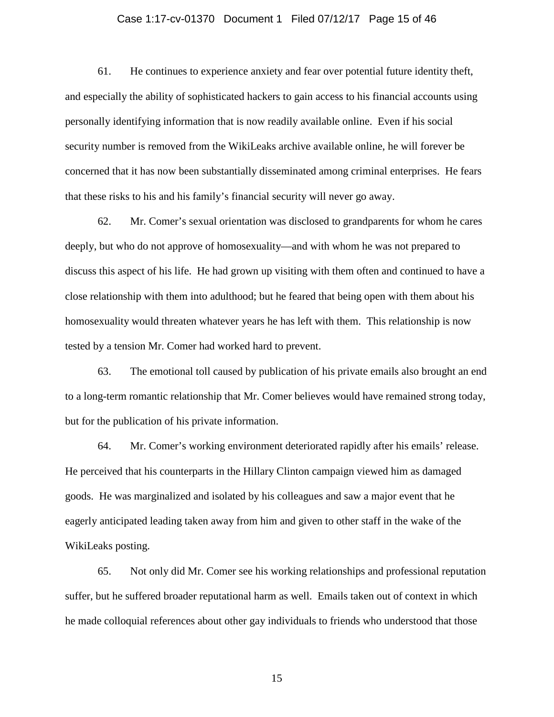### Case 1:17-cv-01370 Document 1 Filed 07/12/17 Page 15 of 46

61. He continues to experience anxiety and fear over potential future identity theft, and especially the ability of sophisticated hackers to gain access to his financial accounts using personally identifying information that is now readily available online. Even if his social security number is removed from the WikiLeaks archive available online, he will forever be concerned that it has now been substantially disseminated among criminal enterprises. He fears that these risks to his and his family's financial security will never go away.

62. Mr. Comer's sexual orientation was disclosed to grandparents for whom he cares deeply, but who do not approve of homosexuality—and with whom he was not prepared to discuss this aspect of his life. He had grown up visiting with them often and continued to have a close relationship with them into adulthood; but he feared that being open with them about his homosexuality would threaten whatever years he has left with them. This relationship is now tested by a tension Mr. Comer had worked hard to prevent.

63. The emotional toll caused by publication of his private emails also brought an end to a long-term romantic relationship that Mr. Comer believes would have remained strong today, but for the publication of his private information.

64. Mr. Comer's working environment deteriorated rapidly after his emails' release. He perceived that his counterparts in the Hillary Clinton campaign viewed him as damaged goods. He was marginalized and isolated by his colleagues and saw a major event that he eagerly anticipated leading taken away from him and given to other staff in the wake of the WikiLeaks posting.

65. Not only did Mr. Comer see his working relationships and professional reputation suffer, but he suffered broader reputational harm as well. Emails taken out of context in which he made colloquial references about other gay individuals to friends who understood that those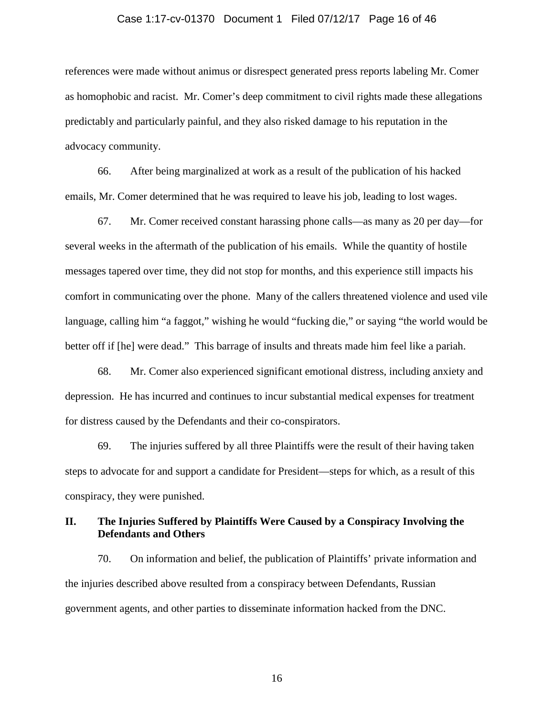### Case 1:17-cv-01370 Document 1 Filed 07/12/17 Page 16 of 46

references were made without animus or disrespect generated press reports labeling Mr. Comer as homophobic and racist. Mr. Comer's deep commitment to civil rights made these allegations predictably and particularly painful, and they also risked damage to his reputation in the advocacy community.

66. After being marginalized at work as a result of the publication of his hacked emails, Mr. Comer determined that he was required to leave his job, leading to lost wages.

67. Mr. Comer received constant harassing phone calls—as many as 20 per day—for several weeks in the aftermath of the publication of his emails. While the quantity of hostile messages tapered over time, they did not stop for months, and this experience still impacts his comfort in communicating over the phone. Many of the callers threatened violence and used vile language, calling him "a faggot," wishing he would "fucking die," or saying "the world would be better off if [he] were dead." This barrage of insults and threats made him feel like a pariah.

68. Mr. Comer also experienced significant emotional distress, including anxiety and depression. He has incurred and continues to incur substantial medical expenses for treatment for distress caused by the Defendants and their co-conspirators.

69. The injuries suffered by all three Plaintiffs were the result of their having taken steps to advocate for and support a candidate for President—steps for which, as a result of this conspiracy, they were punished.

### **II. The Injuries Suffered by Plaintiffs Were Caused by a Conspiracy Involving the Defendants and Others**

70. On information and belief, the publication of Plaintiffs' private information and the injuries described above resulted from a conspiracy between Defendants, Russian government agents, and other parties to disseminate information hacked from the DNC.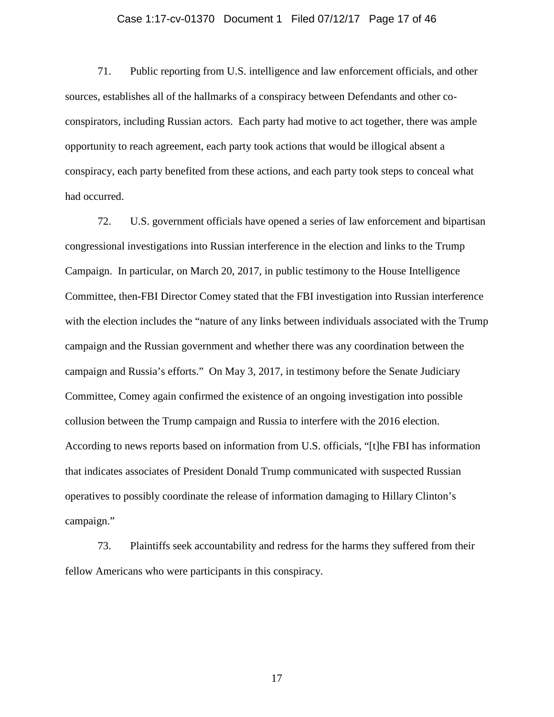### Case 1:17-cv-01370 Document 1 Filed 07/12/17 Page 17 of 46

71. Public reporting from U.S. intelligence and law enforcement officials, and other sources, establishes all of the hallmarks of a conspiracy between Defendants and other coconspirators, including Russian actors. Each party had motive to act together, there was ample opportunity to reach agreement, each party took actions that would be illogical absent a conspiracy, each party benefited from these actions, and each party took steps to conceal what had occurred.

72. U.S. government officials have opened a series of law enforcement and bipartisan congressional investigations into Russian interference in the election and links to the Trump Campaign. In particular, on March 20, 2017, in public testimony to the House Intelligence Committee, then-FBI Director Comey stated that the FBI investigation into Russian interference with the election includes the "nature of any links between individuals associated with the Trump campaign and the Russian government and whether there was any coordination between the campaign and Russia's efforts." On May 3, 2017, in testimony before the Senate Judiciary Committee, Comey again confirmed the existence of an ongoing investigation into possible collusion between the Trump campaign and Russia to interfere with the 2016 election. According to news reports based on information from U.S. officials, "[t]he FBI has information that indicates associates of President Donald Trump communicated with suspected Russian operatives to possibly coordinate the release of information damaging to Hillary Clinton's campaign."

73. Plaintiffs seek accountability and redress for the harms they suffered from their fellow Americans who were participants in this conspiracy.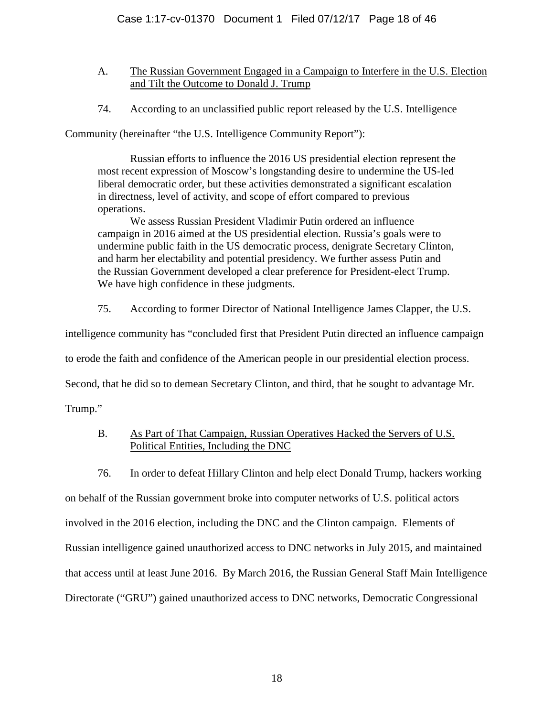- A. The Russian Government Engaged in a Campaign to Interfere in the U.S. Election and Tilt the Outcome to Donald J. Trump
- 74. According to an unclassified public report released by the U.S. Intelligence

Community (hereinafter "the U.S. Intelligence Community Report"):

Russian efforts to influence the 2016 US presidential election represent the most recent expression of Moscow's longstanding desire to undermine the US-led liberal democratic order, but these activities demonstrated a significant escalation in directness, level of activity, and scope of effort compared to previous operations.

We assess Russian President Vladimir Putin ordered an influence campaign in 2016 aimed at the US presidential election. Russia's goals were to undermine public faith in the US democratic process, denigrate Secretary Clinton, and harm her electability and potential presidency. We further assess Putin and the Russian Government developed a clear preference for President-elect Trump. We have high confidence in these judgments.

75. According to former Director of National Intelligence James Clapper, the U.S.

intelligence community has "concluded first that President Putin directed an influence campaign

to erode the faith and confidence of the American people in our presidential election process.

Second, that he did so to demean Secretary Clinton, and third, that he sought to advantage Mr.

Trump."

# B. As Part of That Campaign, Russian Operatives Hacked the Servers of U.S. Political Entities, Including the DNC

76. In order to defeat Hillary Clinton and help elect Donald Trump, hackers working

on behalf of the Russian government broke into computer networks of U.S. political actors involved in the 2016 election, including the DNC and the Clinton campaign. Elements of Russian intelligence gained unauthorized access to DNC networks in July 2015, and maintained that access until at least June 2016. By March 2016, the Russian General Staff Main Intelligence Directorate ("GRU") gained unauthorized access to DNC networks, Democratic Congressional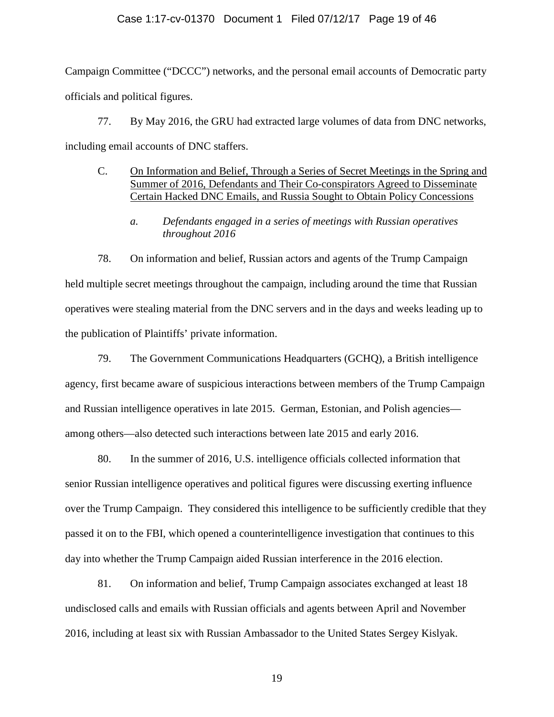### Case 1:17-cv-01370 Document 1 Filed 07/12/17 Page 19 of 46

Campaign Committee ("DCCC") networks, and the personal email accounts of Democratic party officials and political figures.

77. By May 2016, the GRU had extracted large volumes of data from DNC networks, including email accounts of DNC staffers.

- C. On Information and Belief, Through a Series of Secret Meetings in the Spring and Summer of 2016, Defendants and Their Co-conspirators Agreed to Disseminate Certain Hacked DNC Emails, and Russia Sought to Obtain Policy Concessions
	- *a. Defendants engaged in a series of meetings with Russian operatives throughout 2016*

78. On information and belief, Russian actors and agents of the Trump Campaign held multiple secret meetings throughout the campaign, including around the time that Russian operatives were stealing material from the DNC servers and in the days and weeks leading up to the publication of Plaintiffs' private information.

79. The Government Communications Headquarters (GCHQ), a British intelligence agency, first became aware of suspicious interactions between members of the Trump Campaign and Russian intelligence operatives in late 2015. German, Estonian, and Polish agencies among others—also detected such interactions between late 2015 and early 2016.

80. In the summer of 2016, U.S. intelligence officials collected information that senior Russian intelligence operatives and political figures were discussing exerting influence over the Trump Campaign. They considered this intelligence to be sufficiently credible that they passed it on to the FBI, which opened a counterintelligence investigation that continues to this day into whether the Trump Campaign aided Russian interference in the 2016 election.

81. On information and belief, Trump Campaign associates exchanged at least 18 undisclosed calls and emails with Russian officials and agents between April and November 2016, including at least six with Russian Ambassador to the United States Sergey Kislyak.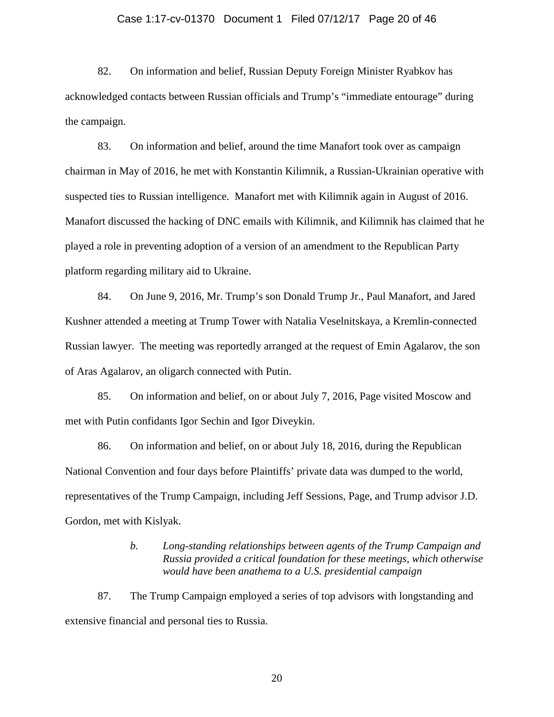### Case 1:17-cv-01370 Document 1 Filed 07/12/17 Page 20 of 46

82. On information and belief, Russian Deputy Foreign Minister Ryabkov has acknowledged contacts between Russian officials and Trump's "immediate entourage" during the campaign.

83. On information and belief, around the time Manafort took over as campaign chairman in May of 2016, he met with Konstantin Kilimnik, a Russian-Ukrainian operative with suspected ties to Russian intelligence. Manafort met with Kilimnik again in August of 2016. Manafort discussed the hacking of DNC emails with Kilimnik, and Kilimnik has claimed that he played a role in preventing adoption of a version of an amendment to the Republican Party platform regarding military aid to Ukraine.

84. On June 9, 2016, Mr. Trump's son Donald Trump Jr., Paul Manafort, and Jared Kushner attended a meeting at Trump Tower with Natalia Veselnitskaya, a Kremlin-connected Russian lawyer. The meeting was reportedly arranged at the request of Emin Agalarov, the son of Aras Agalarov, an oligarch connected with Putin.

85. On information and belief, on or about July 7, 2016, Page visited Moscow and met with Putin confidants Igor Sechin and Igor Diveykin.

86. On information and belief, on or about July 18, 2016, during the Republican National Convention and four days before Plaintiffs' private data was dumped to the world, representatives of the Trump Campaign, including Jeff Sessions, Page, and Trump advisor J.D. Gordon, met with Kislyak.

### *b. Long-standing relationships between agents of the Trump Campaign and Russia provided a critical foundation for these meetings, which otherwise would have been anathema to a U.S. presidential campaign*

87. The Trump Campaign employed a series of top advisors with longstanding and extensive financial and personal ties to Russia.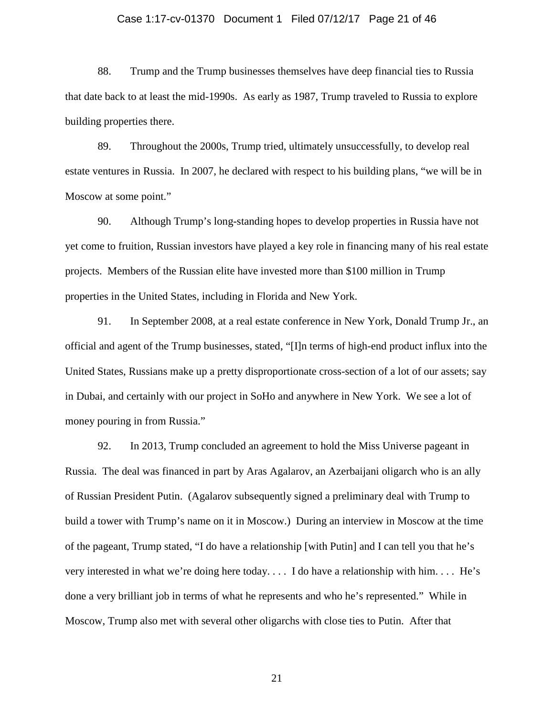### Case 1:17-cv-01370 Document 1 Filed 07/12/17 Page 21 of 46

88. Trump and the Trump businesses themselves have deep financial ties to Russia that date back to at least the mid-1990s. As early as 1987, Trump traveled to Russia to explore building properties there.

89. Throughout the 2000s, Trump tried, ultimately unsuccessfully, to develop real estate ventures in Russia. In 2007, he declared with respect to his building plans, "we will be in Moscow at some point."

90. Although Trump's long-standing hopes to develop properties in Russia have not yet come to fruition, Russian investors have played a key role in financing many of his real estate projects. Members of the Russian elite have invested more than \$100 million in Trump properties in the United States, including in Florida and New York.

91. In September 2008, at a real estate conference in New York, Donald Trump Jr., an official and agent of the Trump businesses, stated, "[I]n terms of high-end product influx into the United States, Russians make up a pretty disproportionate cross-section of a lot of our assets; say in Dubai, and certainly with our project in SoHo and anywhere in New York. We see a lot of money pouring in from Russia."

92. In 2013, Trump concluded an agreement to hold the Miss Universe pageant in Russia. The deal was financed in part by Aras Agalarov, an Azerbaijani oligarch who is an ally of Russian President Putin. (Agalarov subsequently signed a preliminary deal with Trump to build a tower with Trump's name on it in Moscow.) During an interview in Moscow at the time of the pageant, Trump stated, "I do have a relationship [with Putin] and I can tell you that he's very interested in what we're doing here today. . . . I do have a relationship with him. . . . He's done a very brilliant job in terms of what he represents and who he's represented." While in Moscow, Trump also met with several other oligarchs with close ties to Putin. After that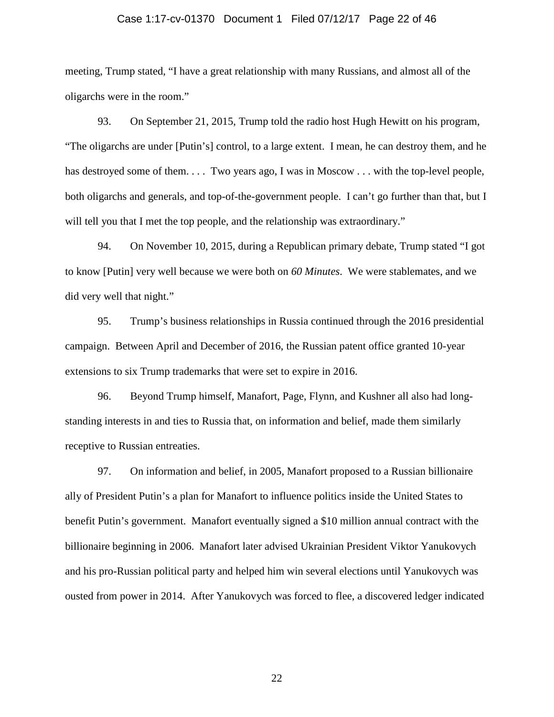### Case 1:17-cv-01370 Document 1 Filed 07/12/17 Page 22 of 46

meeting, Trump stated, "I have a great relationship with many Russians, and almost all of the oligarchs were in the room."

93. On September 21, 2015, Trump told the radio host Hugh Hewitt on his program, "The oligarchs are under [Putin's] control, to a large extent. I mean, he can destroy them, and he has destroyed some of them. . . . Two years ago, I was in Moscow . . . with the top-level people, both oligarchs and generals, and top-of-the-government people. I can't go further than that, but I will tell you that I met the top people, and the relationship was extraordinary."

94. On November 10, 2015, during a Republican primary debate, Trump stated "I got to know [Putin] very well because we were both on *60 Minutes*. We were stablemates, and we did very well that night."

95. Trump's business relationships in Russia continued through the 2016 presidential campaign. Between April and December of 2016, the Russian patent office granted 10-year extensions to six Trump trademarks that were set to expire in 2016.

96. Beyond Trump himself, Manafort, Page, Flynn, and Kushner all also had longstanding interests in and ties to Russia that, on information and belief, made them similarly receptive to Russian entreaties.

97. On information and belief, in 2005, Manafort proposed to a Russian billionaire ally of President Putin's a plan for Manafort to influence politics inside the United States to benefit Putin's government. Manafort eventually signed a \$10 million annual contract with the billionaire beginning in 2006. Manafort later advised Ukrainian President Viktor Yanukovych and his pro-Russian political party and helped him win several elections until Yanukovych was ousted from power in 2014. After Yanukovych was forced to flee, a discovered ledger indicated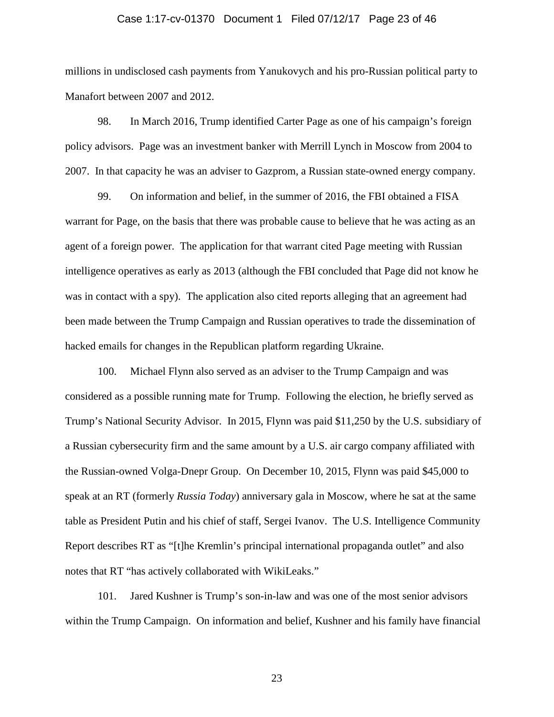#### Case 1:17-cv-01370 Document 1 Filed 07/12/17 Page 23 of 46

millions in undisclosed cash payments from Yanukovych and his pro-Russian political party to Manafort between 2007 and 2012.

98. In March 2016, Trump identified Carter Page as one of his campaign's foreign policy advisors. Page was an investment banker with Merrill Lynch in Moscow from 2004 to 2007. In that capacity he was an adviser to Gazprom, a Russian state-owned energy company.

99. On information and belief, in the summer of 2016, the FBI obtained a FISA warrant for Page, on the basis that there was probable cause to believe that he was acting as an agent of a foreign power. The application for that warrant cited Page meeting with Russian intelligence operatives as early as 2013 (although the FBI concluded that Page did not know he was in contact with a spy). The application also cited reports alleging that an agreement had been made between the Trump Campaign and Russian operatives to trade the dissemination of hacked emails for changes in the Republican platform regarding Ukraine.

100. Michael Flynn also served as an adviser to the Trump Campaign and was considered as a possible running mate for Trump. Following the election, he briefly served as Trump's National Security Advisor. In 2015, Flynn was paid \$11,250 by the U.S. subsidiary of a Russian cybersecurity firm and the same amount by a U.S. air cargo company affiliated with the Russian-owned Volga-Dnepr Group. On December 10, 2015, Flynn was paid \$45,000 to speak at an RT (formerly *Russia Today*) anniversary gala in Moscow, where he sat at the same table as President Putin and his chief of staff, Sergei Ivanov. The U.S. Intelligence Community Report describes RT as "[t]he Kremlin's principal international propaganda outlet" and also notes that RT "has actively collaborated with WikiLeaks."

101. Jared Kushner is Trump's son-in-law and was one of the most senior advisors within the Trump Campaign. On information and belief, Kushner and his family have financial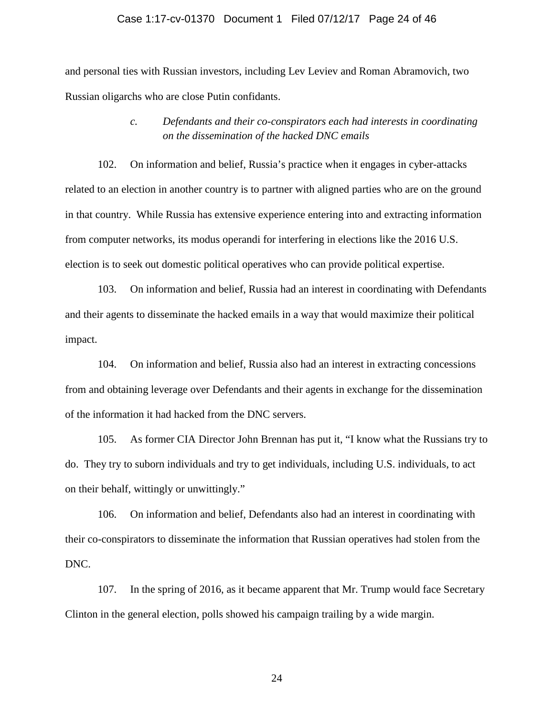### Case 1:17-cv-01370 Document 1 Filed 07/12/17 Page 24 of 46

and personal ties with Russian investors, including Lev Leviev and Roman Abramovich, two Russian oligarchs who are close Putin confidants.

# *c. Defendants and their co-conspirators each had interests in coordinating on the dissemination of the hacked DNC emails*

102. On information and belief, Russia's practice when it engages in cyber-attacks related to an election in another country is to partner with aligned parties who are on the ground in that country. While Russia has extensive experience entering into and extracting information from computer networks, its modus operandi for interfering in elections like the 2016 U.S. election is to seek out domestic political operatives who can provide political expertise.

103. On information and belief, Russia had an interest in coordinating with Defendants and their agents to disseminate the hacked emails in a way that would maximize their political impact.

104. On information and belief, Russia also had an interest in extracting concessions from and obtaining leverage over Defendants and their agents in exchange for the dissemination of the information it had hacked from the DNC servers.

105. As former CIA Director John Brennan has put it, "I know what the Russians try to do. They try to suborn individuals and try to get individuals, including U.S. individuals, to act on their behalf, wittingly or unwittingly."

106. On information and belief, Defendants also had an interest in coordinating with their co-conspirators to disseminate the information that Russian operatives had stolen from the DNC.

107. In the spring of 2016, as it became apparent that Mr. Trump would face Secretary Clinton in the general election, polls showed his campaign trailing by a wide margin.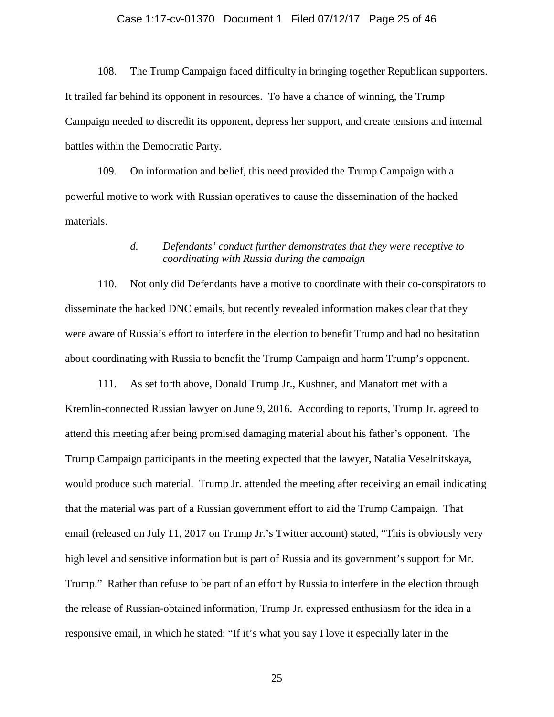### Case 1:17-cv-01370 Document 1 Filed 07/12/17 Page 25 of 46

108. The Trump Campaign faced difficulty in bringing together Republican supporters. It trailed far behind its opponent in resources. To have a chance of winning, the Trump Campaign needed to discredit its opponent, depress her support, and create tensions and internal battles within the Democratic Party.

109. On information and belief, this need provided the Trump Campaign with a powerful motive to work with Russian operatives to cause the dissemination of the hacked materials.

## *d. Defendants' conduct further demonstrates that they were receptive to coordinating with Russia during the campaign*

110. Not only did Defendants have a motive to coordinate with their co-conspirators to disseminate the hacked DNC emails, but recently revealed information makes clear that they were aware of Russia's effort to interfere in the election to benefit Trump and had no hesitation about coordinating with Russia to benefit the Trump Campaign and harm Trump's opponent.

111. As set forth above, Donald Trump Jr., Kushner, and Manafort met with a Kremlin-connected Russian lawyer on June 9, 2016. According to reports, Trump Jr. agreed to attend this meeting after being promised damaging material about his father's opponent. The Trump Campaign participants in the meeting expected that the lawyer, Natalia Veselnitskaya, would produce such material. Trump Jr. attended the meeting after receiving an email indicating that the material was part of a Russian government effort to aid the Trump Campaign. That email (released on July 11, 2017 on Trump Jr.'s Twitter account) stated, "This is obviously very high level and sensitive information but is part of Russia and its government's support for Mr. Trump." Rather than refuse to be part of an effort by Russia to interfere in the election through the release of Russian-obtained information, Trump Jr. expressed enthusiasm for the idea in a responsive email, in which he stated: "If it's what you say I love it especially later in the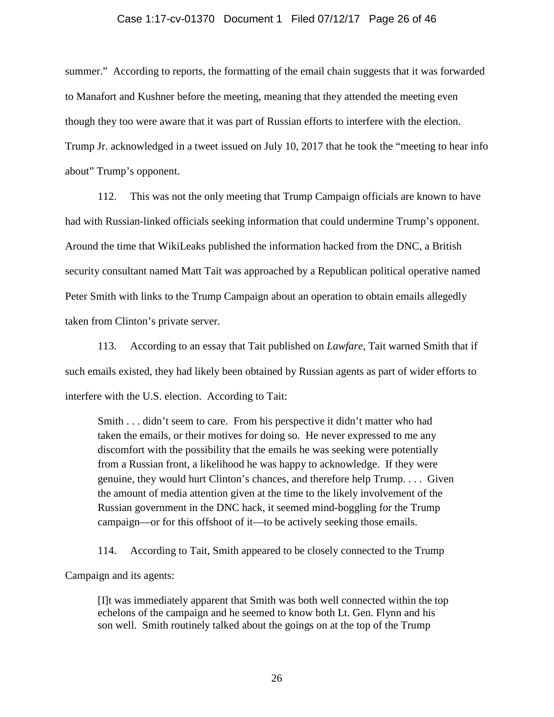### Case 1:17-cv-01370 Document 1 Filed 07/12/17 Page 26 of 46

summer." According to reports, the formatting of the email chain suggests that it was forwarded to Manafort and Kushner before the meeting, meaning that they attended the meeting even though they too were aware that it was part of Russian efforts to interfere with the election. Trump Jr. acknowledged in a tweet issued on July 10, 2017 that he took the "meeting to hear info about" Trump's opponent.

112. This was not the only meeting that Trump Campaign officials are known to have had with Russian-linked officials seeking information that could undermine Trump's opponent. Around the time that WikiLeaks published the information hacked from the DNC, a British security consultant named Matt Tait was approached by a Republican political operative named Peter Smith with links to the Trump Campaign about an operation to obtain emails allegedly taken from Clinton's private server.

113. According to an essay that Tait published on *Lawfare*, Tait warned Smith that if such emails existed, they had likely been obtained by Russian agents as part of wider efforts to interfere with the U.S. election. According to Tait:

Smith . . . didn't seem to care. From his perspective it didn't matter who had taken the emails, or their motives for doing so. He never expressed to me any discomfort with the possibility that the emails he was seeking were potentially from a Russian front, a likelihood he was happy to acknowledge. If they were genuine, they would hurt Clinton's chances, and therefore help Trump. . . . Given the amount of media attention given at the time to the likely involvement of the Russian government in the DNC hack, it seemed mind-boggling for the Trump campaign—or for this offshoot of it—to be actively seeking those emails.

114. According to Tait, Smith appeared to be closely connected to the Trump Campaign and its agents:

[I]t was immediately apparent that Smith was both well connected within the top echelons of the campaign and he seemed to know both Lt. Gen. Flynn and his son well. Smith routinely talked about the goings on at the top of the Trump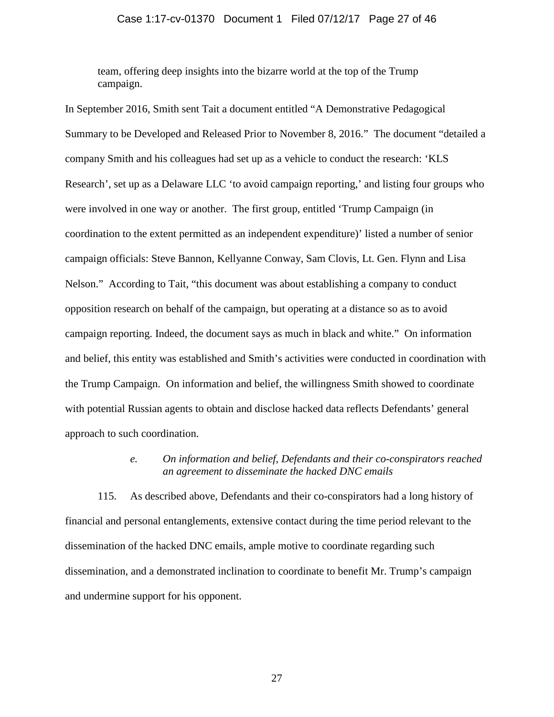### Case 1:17-cv-01370 Document 1 Filed 07/12/17 Page 27 of 46

team, offering deep insights into the bizarre world at the top of the Trump campaign.

In September 2016, Smith sent Tait a document entitled "A Demonstrative Pedagogical Summary to be Developed and Released Prior to November 8, 2016." The document "detailed a company Smith and his colleagues had set up as a vehicle to conduct the research: 'KLS Research', set up as a Delaware LLC 'to avoid campaign reporting,' and listing four groups who were involved in one way or another. The first group, entitled 'Trump Campaign (in coordination to the extent permitted as an independent expenditure)' listed a number of senior campaign officials: Steve Bannon, Kellyanne Conway, Sam Clovis, Lt. Gen. Flynn and Lisa Nelson." According to Tait, "this document was about establishing a company to conduct opposition research on behalf of the campaign, but operating at a distance so as to avoid campaign reporting. Indeed, the document says as much in black and white." On information and belief, this entity was established and Smith's activities were conducted in coordination with the Trump Campaign. On information and belief, the willingness Smith showed to coordinate with potential Russian agents to obtain and disclose hacked data reflects Defendants' general approach to such coordination.

# *e. On information and belief, Defendants and their co-conspirators reached an agreement to disseminate the hacked DNC emails*

115. As described above, Defendants and their co-conspirators had a long history of financial and personal entanglements, extensive contact during the time period relevant to the dissemination of the hacked DNC emails, ample motive to coordinate regarding such dissemination, and a demonstrated inclination to coordinate to benefit Mr. Trump's campaign and undermine support for his opponent.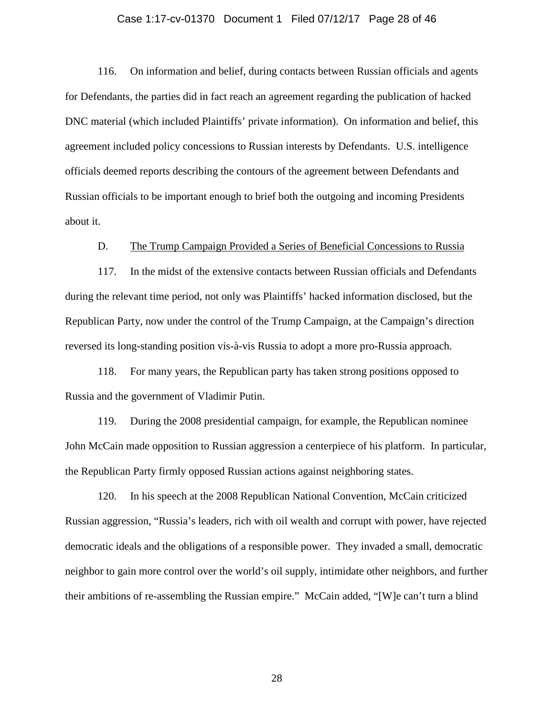### Case 1:17-cv-01370 Document 1 Filed 07/12/17 Page 28 of 46

116. On information and belief, during contacts between Russian officials and agents for Defendants, the parties did in fact reach an agreement regarding the publication of hacked DNC material (which included Plaintiffs' private information). On information and belief, this agreement included policy concessions to Russian interests by Defendants. U.S. intelligence officials deemed reports describing the contours of the agreement between Defendants and Russian officials to be important enough to brief both the outgoing and incoming Presidents about it.

### D. The Trump Campaign Provided a Series of Beneficial Concessions to Russia

117. In the midst of the extensive contacts between Russian officials and Defendants during the relevant time period, not only was Plaintiffs' hacked information disclosed, but the Republican Party, now under the control of the Trump Campaign, at the Campaign's direction reversed its long-standing position vis-à-vis Russia to adopt a more pro-Russia approach.

118. For many years, the Republican party has taken strong positions opposed to Russia and the government of Vladimir Putin.

119. During the 2008 presidential campaign, for example, the Republican nominee John McCain made opposition to Russian aggression a centerpiece of his platform. In particular, the Republican Party firmly opposed Russian actions against neighboring states.

120. In his speech at the 2008 Republican National Convention, McCain criticized Russian aggression, "Russia's leaders, rich with oil wealth and corrupt with power, have rejected democratic ideals and the obligations of a responsible power. They invaded a small, democratic neighbor to gain more control over the world's oil supply, intimidate other neighbors, and further their ambitions of re-assembling the Russian empire." McCain added, "[W]e can't turn a blind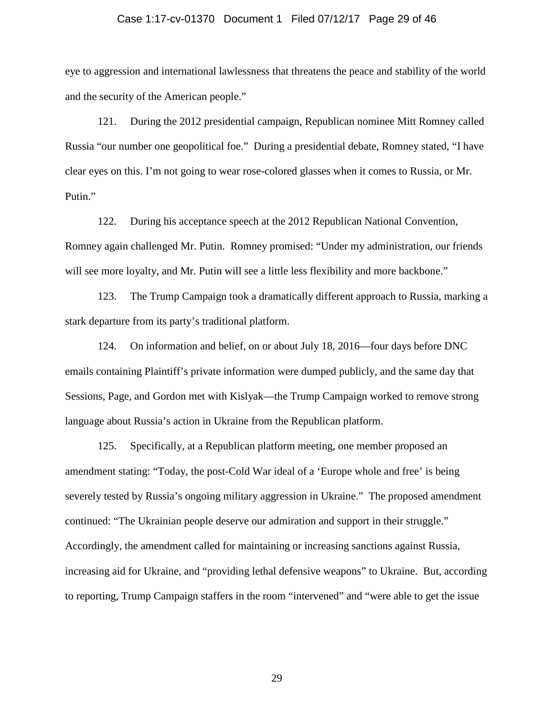#### Case 1:17-cv-01370 Document 1 Filed 07/12/17 Page 29 of 46

eye to aggression and international lawlessness that threatens the peace and stability of the world and the security of the American people."

121. During the 2012 presidential campaign, Republican nominee Mitt Romney called Russia "our number one geopolitical foe." During a presidential debate, Romney stated, "I have clear eyes on this. I'm not going to wear rose-colored glasses when it comes to Russia, or Mr. Putin."

122. During his acceptance speech at the 2012 Republican National Convention, Romney again challenged Mr. Putin. Romney promised: "Under my administration, our friends will see more loyalty, and Mr. Putin will see a little less flexibility and more backbone."

123. The Trump Campaign took a dramatically different approach to Russia, marking a stark departure from its party's traditional platform.

124. On information and belief, on or about July 18, 2016—four days before DNC emails containing Plaintiff's private information were dumped publicly, and the same day that Sessions, Page, and Gordon met with Kislyak—the Trump Campaign worked to remove strong language about Russia's action in Ukraine from the Republican platform.

125. Specifically, at a Republican platform meeting, one member proposed an amendment stating: "Today, the post-Cold War ideal of a 'Europe whole and free' is being severely tested by Russia's ongoing military aggression in Ukraine." The proposed amendment continued: "The Ukrainian people deserve our admiration and support in their struggle." Accordingly, the amendment called for maintaining or increasing sanctions against Russia, increasing aid for Ukraine, and "providing lethal defensive weapons" to Ukraine. But, according to reporting, Trump Campaign staffers in the room "intervened" and "were able to get the issue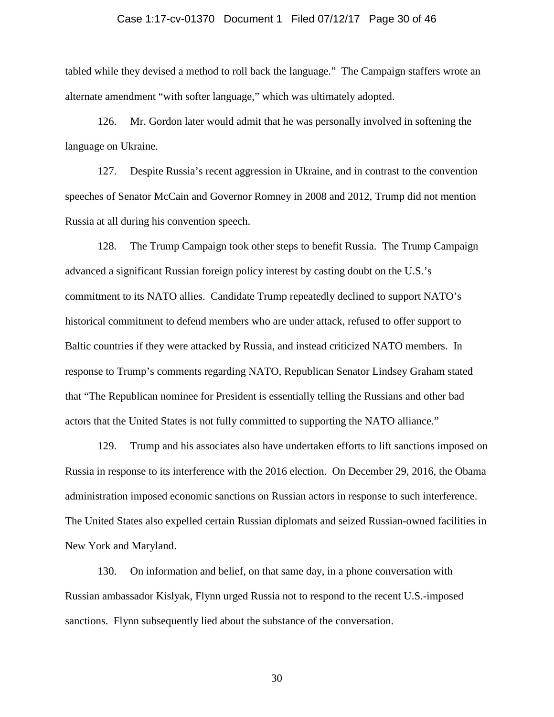### Case 1:17-cv-01370 Document 1 Filed 07/12/17 Page 30 of 46

tabled while they devised a method to roll back the language." The Campaign staffers wrote an alternate amendment "with softer language," which was ultimately adopted.

126. Mr. Gordon later would admit that he was personally involved in softening the language on Ukraine.

127. Despite Russia's recent aggression in Ukraine, and in contrast to the convention speeches of Senator McCain and Governor Romney in 2008 and 2012, Trump did not mention Russia at all during his convention speech.

128. The Trump Campaign took other steps to benefit Russia. The Trump Campaign advanced a significant Russian foreign policy interest by casting doubt on the U.S.'s commitment to its NATO allies. Candidate Trump repeatedly declined to support NATO's historical commitment to defend members who are under attack, refused to offer support to Baltic countries if they were attacked by Russia, and instead criticized NATO members. In response to Trump's comments regarding NATO, Republican Senator Lindsey Graham stated that "The Republican nominee for President is essentially telling the Russians and other bad actors that the United States is not fully committed to supporting the NATO alliance."

129. Trump and his associates also have undertaken efforts to lift sanctions imposed on Russia in response to its interference with the 2016 election. On December 29, 2016, the Obama administration imposed economic sanctions on Russian actors in response to such interference. The United States also expelled certain Russian diplomats and seized Russian-owned facilities in New York and Maryland.

130. On information and belief, on that same day, in a phone conversation with Russian ambassador Kislyak, Flynn urged Russia not to respond to the recent U.S.-imposed sanctions. Flynn subsequently lied about the substance of the conversation.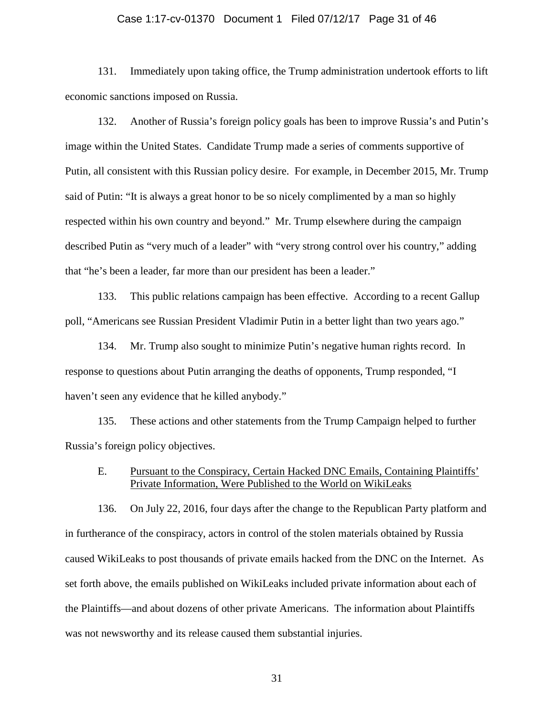### Case 1:17-cv-01370 Document 1 Filed 07/12/17 Page 31 of 46

131. Immediately upon taking office, the Trump administration undertook efforts to lift economic sanctions imposed on Russia.

132. Another of Russia's foreign policy goals has been to improve Russia's and Putin's image within the United States. Candidate Trump made a series of comments supportive of Putin, all consistent with this Russian policy desire. For example, in December 2015, Mr. Trump said of Putin: "It is always a great honor to be so nicely complimented by a man so highly respected within his own country and beyond." Mr. Trump elsewhere during the campaign described Putin as "very much of a leader" with "very strong control over his country," adding that "he's been a leader, far more than our president has been a leader."

133. This public relations campaign has been effective. According to a recent Gallup poll, "Americans see Russian President Vladimir Putin in a better light than two years ago."

134. Mr. Trump also sought to minimize Putin's negative human rights record. In response to questions about Putin arranging the deaths of opponents, Trump responded, "I haven't seen any evidence that he killed anybody."

135. These actions and other statements from the Trump Campaign helped to further Russia's foreign policy objectives.

### E. Pursuant to the Conspiracy, Certain Hacked DNC Emails, Containing Plaintiffs' Private Information, Were Published to the World on WikiLeaks

136. On July 22, 2016, four days after the change to the Republican Party platform and in furtherance of the conspiracy, actors in control of the stolen materials obtained by Russia caused WikiLeaks to post thousands of private emails hacked from the DNC on the Internet. As set forth above, the emails published on WikiLeaks included private information about each of the Plaintiffs—and about dozens of other private Americans. The information about Plaintiffs was not newsworthy and its release caused them substantial injuries.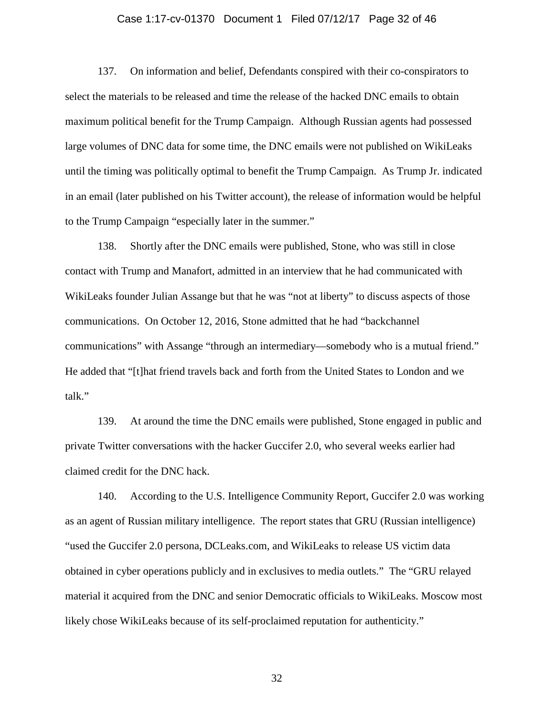### Case 1:17-cv-01370 Document 1 Filed 07/12/17 Page 32 of 46

137. On information and belief, Defendants conspired with their co-conspirators to select the materials to be released and time the release of the hacked DNC emails to obtain maximum political benefit for the Trump Campaign. Although Russian agents had possessed large volumes of DNC data for some time, the DNC emails were not published on WikiLeaks until the timing was politically optimal to benefit the Trump Campaign. As Trump Jr. indicated in an email (later published on his Twitter account), the release of information would be helpful to the Trump Campaign "especially later in the summer."

138. Shortly after the DNC emails were published, Stone, who was still in close contact with Trump and Manafort, admitted in an interview that he had communicated with WikiLeaks founder Julian Assange but that he was "not at liberty" to discuss aspects of those communications. On October 12, 2016, Stone admitted that he had "backchannel communications" with Assange "through an intermediary—somebody who is a mutual friend." He added that "[t]hat friend travels back and forth from the United States to London and we talk."

139. At around the time the DNC emails were published, Stone engaged in public and private Twitter conversations with the hacker Guccifer 2.0, who several weeks earlier had claimed credit for the DNC hack.

140. According to the U.S. Intelligence Community Report, Guccifer 2.0 was working as an agent of Russian military intelligence. The report states that GRU (Russian intelligence) "used the Guccifer 2.0 persona, DCLeaks.com, and WikiLeaks to release US victim data obtained in cyber operations publicly and in exclusives to media outlets." The "GRU relayed material it acquired from the DNC and senior Democratic officials to WikiLeaks. Moscow most likely chose WikiLeaks because of its self-proclaimed reputation for authenticity."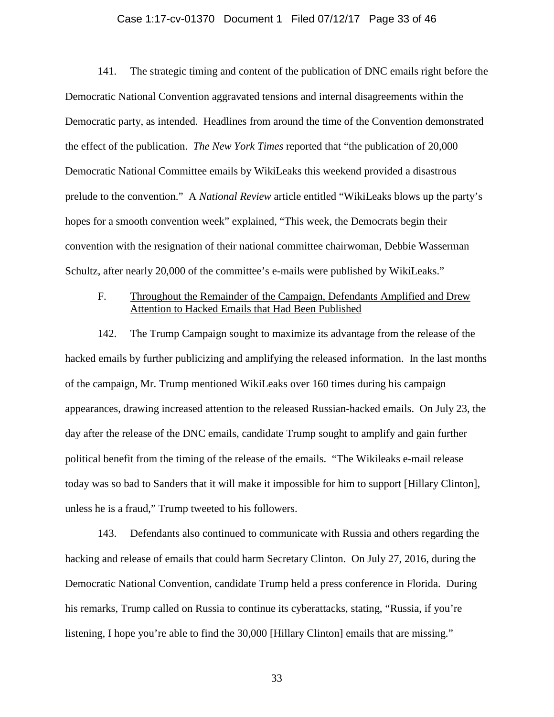### Case 1:17-cv-01370 Document 1 Filed 07/12/17 Page 33 of 46

141. The strategic timing and content of the publication of DNC emails right before the Democratic National Convention aggravated tensions and internal disagreements within the Democratic party, as intended. Headlines from around the time of the Convention demonstrated the effect of the publication. *The New York Times* reported that "the publication of 20,000 Democratic National Committee emails by WikiLeaks this weekend provided a disastrous prelude to the convention." A *National Review* article entitled "WikiLeaks blows up the party's hopes for a smooth convention week" explained, "This week, the Democrats begin their convention with the resignation of their national committee chairwoman, Debbie Wasserman Schultz, after nearly 20,000 of the committee's e-mails were published by WikiLeaks."

## F. Throughout the Remainder of the Campaign, Defendants Amplified and Drew Attention to Hacked Emails that Had Been Published

142. The Trump Campaign sought to maximize its advantage from the release of the hacked emails by further publicizing and amplifying the released information. In the last months of the campaign, Mr. Trump mentioned WikiLeaks over 160 times during his campaign appearances, drawing increased attention to the released Russian-hacked emails. On July 23, the day after the release of the DNC emails, candidate Trump sought to amplify and gain further political benefit from the timing of the release of the emails. "The Wikileaks e-mail release today was so bad to Sanders that it will make it impossible for him to support [Hillary Clinton], unless he is a fraud," Trump tweeted to his followers.

143. Defendants also continued to communicate with Russia and others regarding the hacking and release of emails that could harm Secretary Clinton. On July 27, 2016, during the Democratic National Convention, candidate Trump held a press conference in Florida. During his remarks, Trump called on Russia to continue its cyberattacks, stating, "Russia, if you're listening, I hope you're able to find the 30,000 [Hillary Clinton] emails that are missing."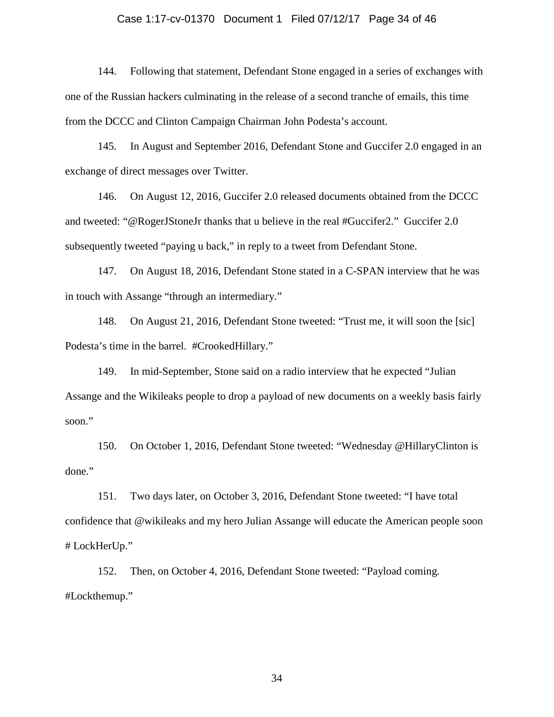### Case 1:17-cv-01370 Document 1 Filed 07/12/17 Page 34 of 46

144. Following that statement, Defendant Stone engaged in a series of exchanges with one of the Russian hackers culminating in the release of a second tranche of emails, this time from the DCCC and Clinton Campaign Chairman John Podesta's account.

145. In August and September 2016, Defendant Stone and Guccifer 2.0 engaged in an exchange of direct messages over Twitter.

146. On August 12, 2016, Guccifer 2.0 released documents obtained from the DCCC and tweeted: "@RogerJStoneJr thanks that u believe in the real #Guccifer2." Guccifer 2.0 subsequently tweeted "paying u back," in reply to a tweet from Defendant Stone.

147. On August 18, 2016, Defendant Stone stated in a C-SPAN interview that he was in touch with Assange "through an intermediary."

148. On August 21, 2016, Defendant Stone tweeted: "Trust me, it will soon the [sic] Podesta's time in the barrel. #CrookedHillary."

149. In mid-September, Stone said on a radio interview that he expected "Julian Assange and the Wikileaks people to drop a payload of new documents on a weekly basis fairly soon."

150. On October 1, 2016, Defendant Stone tweeted: "Wednesday @HillaryClinton is done."

151. Two days later, on October 3, 2016, Defendant Stone tweeted: "I have total confidence that @wikileaks and my hero Julian Assange will educate the American people soon # LockHerUp."

152. Then, on October 4, 2016, Defendant Stone tweeted: "Payload coming. #Lockthemup."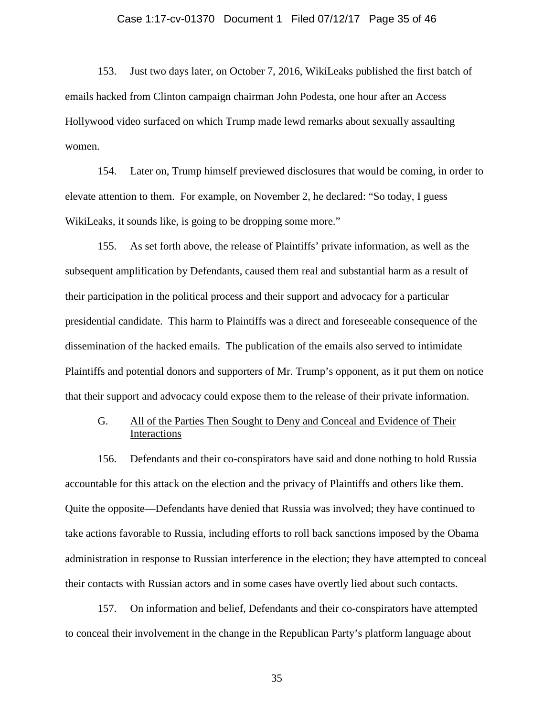### Case 1:17-cv-01370 Document 1 Filed 07/12/17 Page 35 of 46

153. Just two days later, on October 7, 2016, WikiLeaks published the first batch of emails hacked from Clinton campaign chairman John Podesta, one hour after an Access Hollywood video surfaced on which Trump made lewd remarks about sexually assaulting women.

154. Later on, Trump himself previewed disclosures that would be coming, in order to elevate attention to them. For example, on November 2, he declared: "So today, I guess WikiLeaks, it sounds like, is going to be dropping some more."

155. As set forth above, the release of Plaintiffs' private information, as well as the subsequent amplification by Defendants, caused them real and substantial harm as a result of their participation in the political process and their support and advocacy for a particular presidential candidate. This harm to Plaintiffs was a direct and foreseeable consequence of the dissemination of the hacked emails. The publication of the emails also served to intimidate Plaintiffs and potential donors and supporters of Mr. Trump's opponent, as it put them on notice that their support and advocacy could expose them to the release of their private information.

## G. All of the Parties Then Sought to Deny and Conceal and Evidence of Their Interactions

156. Defendants and their co-conspirators have said and done nothing to hold Russia accountable for this attack on the election and the privacy of Plaintiffs and others like them. Quite the opposite—Defendants have denied that Russia was involved; they have continued to take actions favorable to Russia, including efforts to roll back sanctions imposed by the Obama administration in response to Russian interference in the election; they have attempted to conceal their contacts with Russian actors and in some cases have overtly lied about such contacts.

157. On information and belief, Defendants and their co-conspirators have attempted to conceal their involvement in the change in the Republican Party's platform language about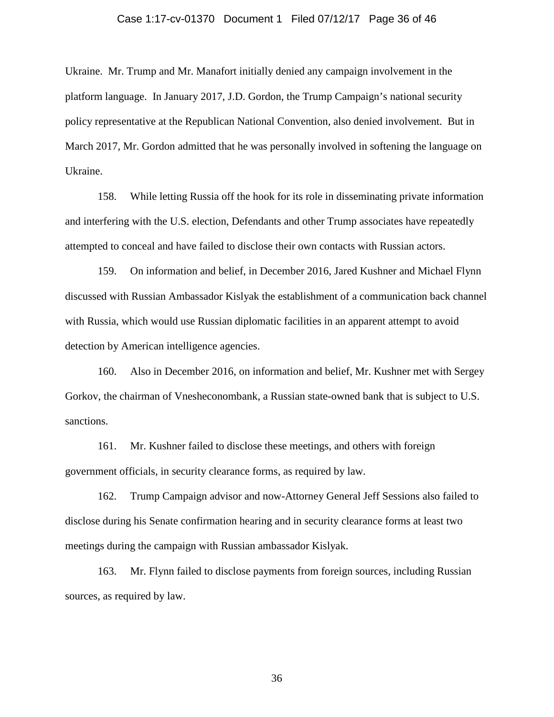### Case 1:17-cv-01370 Document 1 Filed 07/12/17 Page 36 of 46

Ukraine. Mr. Trump and Mr. Manafort initially denied any campaign involvement in the platform language. In January 2017, J.D. Gordon, the Trump Campaign's national security policy representative at the Republican National Convention, also denied involvement. But in March 2017, Mr. Gordon admitted that he was personally involved in softening the language on Ukraine.

158. While letting Russia off the hook for its role in disseminating private information and interfering with the U.S. election, Defendants and other Trump associates have repeatedly attempted to conceal and have failed to disclose their own contacts with Russian actors.

159. On information and belief, in December 2016, Jared Kushner and Michael Flynn discussed with Russian Ambassador Kislyak the establishment of a communication back channel with Russia, which would use Russian diplomatic facilities in an apparent attempt to avoid detection by American intelligence agencies.

160. Also in December 2016, on information and belief, Mr. Kushner met with Sergey Gorkov, the chairman of Vnesheconombank, a Russian state-owned bank that is subject to U.S. sanctions.

161. Mr. Kushner failed to disclose these meetings, and others with foreign government officials, in security clearance forms, as required by law.

162. Trump Campaign advisor and now-Attorney General Jeff Sessions also failed to disclose during his Senate confirmation hearing and in security clearance forms at least two meetings during the campaign with Russian ambassador Kislyak.

163. Mr. Flynn failed to disclose payments from foreign sources, including Russian sources, as required by law.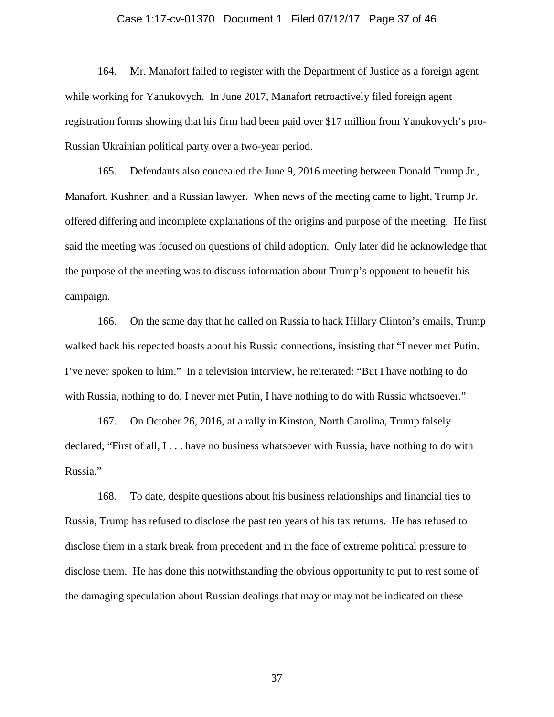### Case 1:17-cv-01370 Document 1 Filed 07/12/17 Page 37 of 46

164. Mr. Manafort failed to register with the Department of Justice as a foreign agent while working for Yanukovych. In June 2017, Manafort retroactively filed foreign agent registration forms showing that his firm had been paid over \$17 million from Yanukovych's pro-Russian Ukrainian political party over a two-year period.

165. Defendants also concealed the June 9, 2016 meeting between Donald Trump Jr., Manafort, Kushner, and a Russian lawyer. When news of the meeting came to light, Trump Jr. offered differing and incomplete explanations of the origins and purpose of the meeting. He first said the meeting was focused on questions of child adoption. Only later did he acknowledge that the purpose of the meeting was to discuss information about Trump's opponent to benefit his campaign.

166. On the same day that he called on Russia to hack Hillary Clinton's emails, Trump walked back his repeated boasts about his Russia connections, insisting that "I never met Putin. I've never spoken to him." In a television interview, he reiterated: "But I have nothing to do with Russia, nothing to do, I never met Putin, I have nothing to do with Russia whatsoever."

167. On October 26, 2016, at a rally in Kinston, North Carolina, Trump falsely declared, "First of all, I . . . have no business whatsoever with Russia, have nothing to do with Russia."

168. To date, despite questions about his business relationships and financial ties to Russia, Trump has refused to disclose the past ten years of his tax returns. He has refused to disclose them in a stark break from precedent and in the face of extreme political pressure to disclose them. He has done this notwithstanding the obvious opportunity to put to rest some of the damaging speculation about Russian dealings that may or may not be indicated on these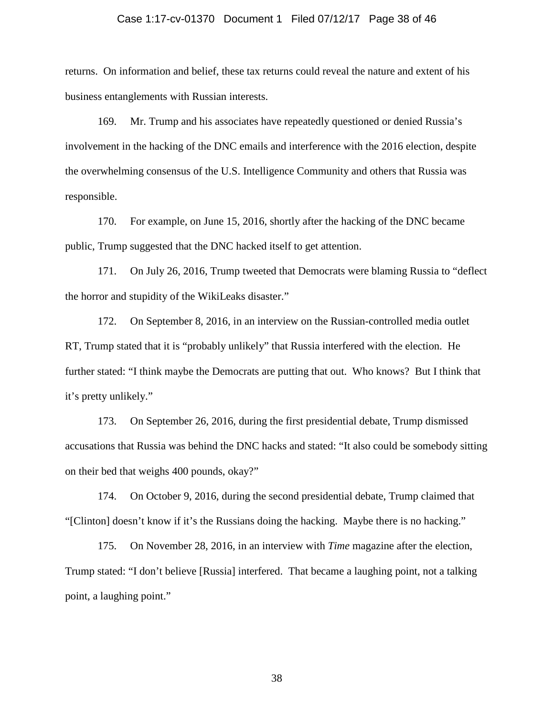### Case 1:17-cv-01370 Document 1 Filed 07/12/17 Page 38 of 46

returns. On information and belief, these tax returns could reveal the nature and extent of his business entanglements with Russian interests.

169. Mr. Trump and his associates have repeatedly questioned or denied Russia's involvement in the hacking of the DNC emails and interference with the 2016 election, despite the overwhelming consensus of the U.S. Intelligence Community and others that Russia was responsible.

170. For example, on June 15, 2016, shortly after the hacking of the DNC became public, Trump suggested that the DNC hacked itself to get attention.

171. On July 26, 2016, Trump tweeted that Democrats were blaming Russia to "deflect the horror and stupidity of the WikiLeaks disaster."

172. On September 8, 2016, in an interview on the Russian-controlled media outlet RT, Trump stated that it is "probably unlikely" that Russia interfered with the election. He further stated: "I think maybe the Democrats are putting that out. Who knows? But I think that it's pretty unlikely."

173. On September 26, 2016, during the first presidential debate, Trump dismissed accusations that Russia was behind the DNC hacks and stated: "It also could be somebody sitting on their bed that weighs 400 pounds, okay?"

174. On October 9, 2016, during the second presidential debate, Trump claimed that "[Clinton] doesn't know if it's the Russians doing the hacking. Maybe there is no hacking."

175. On November 28, 2016, in an interview with *Time* magazine after the election, Trump stated: "I don't believe [Russia] interfered. That became a laughing point, not a talking point, a laughing point."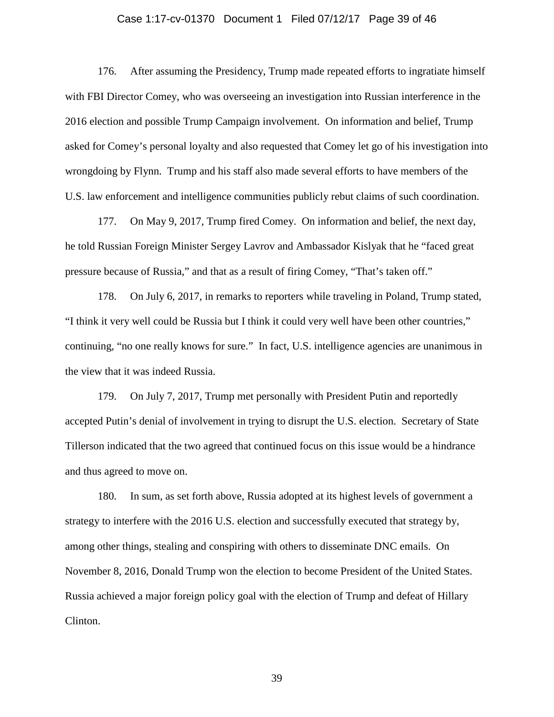### Case 1:17-cv-01370 Document 1 Filed 07/12/17 Page 39 of 46

176. After assuming the Presidency, Trump made repeated efforts to ingratiate himself with FBI Director Comey, who was overseeing an investigation into Russian interference in the 2016 election and possible Trump Campaign involvement. On information and belief, Trump asked for Comey's personal loyalty and also requested that Comey let go of his investigation into wrongdoing by Flynn. Trump and his staff also made several efforts to have members of the U.S. law enforcement and intelligence communities publicly rebut claims of such coordination.

177. On May 9, 2017, Trump fired Comey. On information and belief, the next day, he told Russian Foreign Minister Sergey Lavrov and Ambassador Kislyak that he "faced great pressure because of Russia," and that as a result of firing Comey, "That's taken off."

178. On July 6, 2017, in remarks to reporters while traveling in Poland, Trump stated, "I think it very well could be Russia but I think it could very well have been other countries," continuing, "no one really knows for sure." In fact, U.S. intelligence agencies are unanimous in the view that it was indeed Russia.

179. On July 7, 2017, Trump met personally with President Putin and reportedly accepted Putin's denial of involvement in trying to disrupt the U.S. election. Secretary of State Tillerson indicated that the two agreed that continued focus on this issue would be a hindrance and thus agreed to move on.

180. In sum, as set forth above, Russia adopted at its highest levels of government a strategy to interfere with the 2016 U.S. election and successfully executed that strategy by, among other things, stealing and conspiring with others to disseminate DNC emails. On November 8, 2016, Donald Trump won the election to become President of the United States. Russia achieved a major foreign policy goal with the election of Trump and defeat of Hillary Clinton.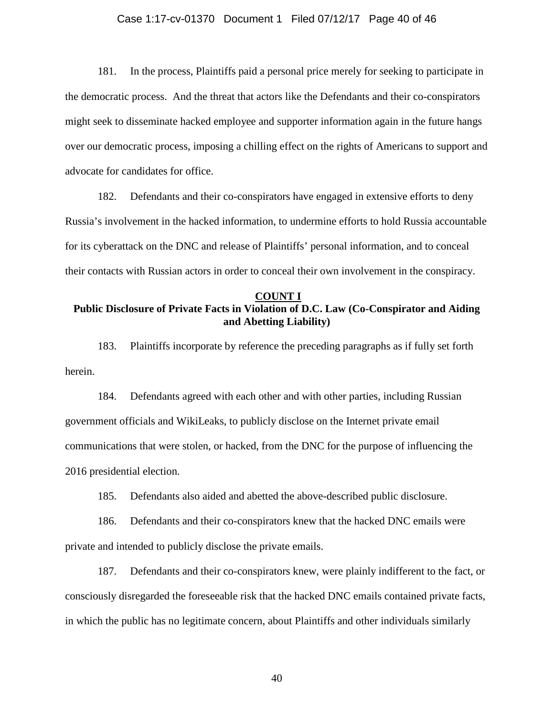### Case 1:17-cv-01370 Document 1 Filed 07/12/17 Page 40 of 46

181. In the process, Plaintiffs paid a personal price merely for seeking to participate in the democratic process. And the threat that actors like the Defendants and their co-conspirators might seek to disseminate hacked employee and supporter information again in the future hangs over our democratic process, imposing a chilling effect on the rights of Americans to support and advocate for candidates for office.

182. Defendants and their co-conspirators have engaged in extensive efforts to deny Russia's involvement in the hacked information, to undermine efforts to hold Russia accountable for its cyberattack on the DNC and release of Plaintiffs' personal information, and to conceal their contacts with Russian actors in order to conceal their own involvement in the conspiracy.

### **COUNT I**

# **Public Disclosure of Private Facts in Violation of D.C. Law (Co-Conspirator and Aiding and Abetting Liability)**

183. Plaintiffs incorporate by reference the preceding paragraphs as if fully set forth herein.

184. Defendants agreed with each other and with other parties, including Russian government officials and WikiLeaks, to publicly disclose on the Internet private email communications that were stolen, or hacked, from the DNC for the purpose of influencing the 2016 presidential election.

185. Defendants also aided and abetted the above-described public disclosure.

186. Defendants and their co-conspirators knew that the hacked DNC emails were private and intended to publicly disclose the private emails.

187. Defendants and their co-conspirators knew, were plainly indifferent to the fact, or consciously disregarded the foreseeable risk that the hacked DNC emails contained private facts, in which the public has no legitimate concern, about Plaintiffs and other individuals similarly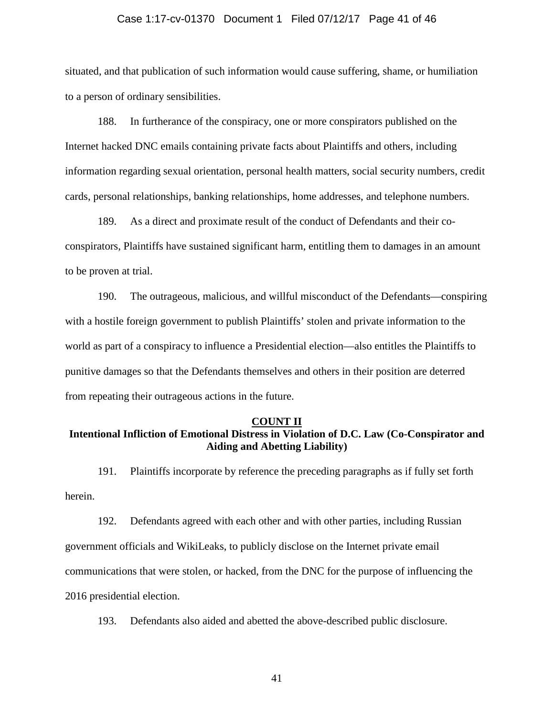#### Case 1:17-cv-01370 Document 1 Filed 07/12/17 Page 41 of 46

situated, and that publication of such information would cause suffering, shame, or humiliation to a person of ordinary sensibilities.

188. In furtherance of the conspiracy, one or more conspirators published on the Internet hacked DNC emails containing private facts about Plaintiffs and others, including information regarding sexual orientation, personal health matters, social security numbers, credit cards, personal relationships, banking relationships, home addresses, and telephone numbers.

189. As a direct and proximate result of the conduct of Defendants and their coconspirators, Plaintiffs have sustained significant harm, entitling them to damages in an amount to be proven at trial.

190. The outrageous, malicious, and willful misconduct of the Defendants—conspiring with a hostile foreign government to publish Plaintiffs' stolen and private information to the world as part of a conspiracy to influence a Presidential election—also entitles the Plaintiffs to punitive damages so that the Defendants themselves and others in their position are deterred from repeating their outrageous actions in the future.

### **COUNT II**

# **Intentional Infliction of Emotional Distress in Violation of D.C. Law (Co-Conspirator and Aiding and Abetting Liability)**

191. Plaintiffs incorporate by reference the preceding paragraphs as if fully set forth herein.

192. Defendants agreed with each other and with other parties, including Russian government officials and WikiLeaks, to publicly disclose on the Internet private email communications that were stolen, or hacked, from the DNC for the purpose of influencing the 2016 presidential election.

193. Defendants also aided and abetted the above-described public disclosure.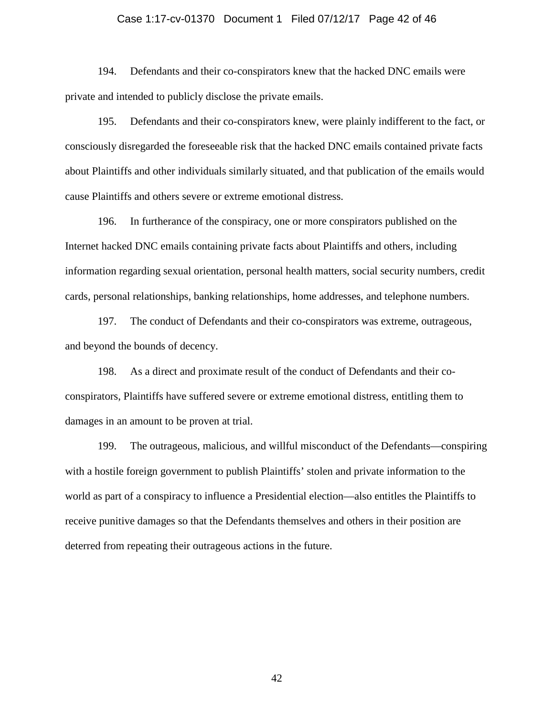### Case 1:17-cv-01370 Document 1 Filed 07/12/17 Page 42 of 46

194. Defendants and their co-conspirators knew that the hacked DNC emails were private and intended to publicly disclose the private emails.

195. Defendants and their co-conspirators knew, were plainly indifferent to the fact, or consciously disregarded the foreseeable risk that the hacked DNC emails contained private facts about Plaintiffs and other individuals similarly situated, and that publication of the emails would cause Plaintiffs and others severe or extreme emotional distress.

196. In furtherance of the conspiracy, one or more conspirators published on the Internet hacked DNC emails containing private facts about Plaintiffs and others, including information regarding sexual orientation, personal health matters, social security numbers, credit cards, personal relationships, banking relationships, home addresses, and telephone numbers.

197. The conduct of Defendants and their co-conspirators was extreme, outrageous, and beyond the bounds of decency.

198. As a direct and proximate result of the conduct of Defendants and their coconspirators, Plaintiffs have suffered severe or extreme emotional distress, entitling them to damages in an amount to be proven at trial.

199. The outrageous, malicious, and willful misconduct of the Defendants—conspiring with a hostile foreign government to publish Plaintiffs' stolen and private information to the world as part of a conspiracy to influence a Presidential election—also entitles the Plaintiffs to receive punitive damages so that the Defendants themselves and others in their position are deterred from repeating their outrageous actions in the future.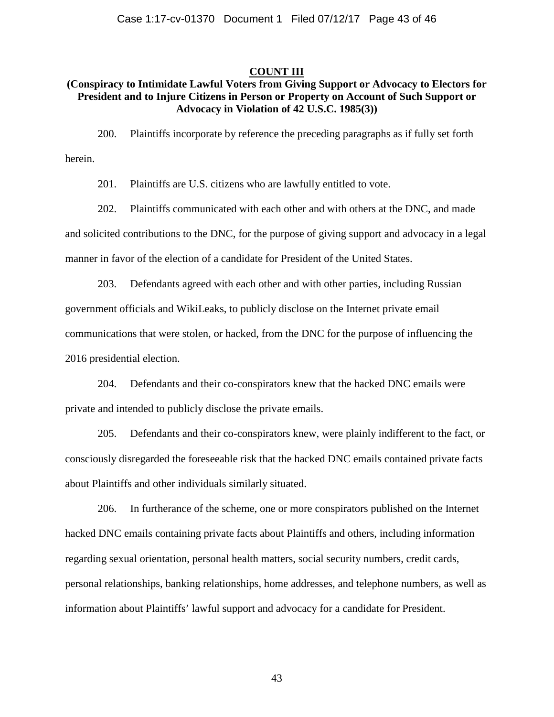### **COUNT III**

### **(Conspiracy to Intimidate Lawful Voters from Giving Support or Advocacy to Electors for President and to Injure Citizens in Person or Property on Account of Such Support or Advocacy in Violation of 42 U.S.C. 1985(3))**

200. Plaintiffs incorporate by reference the preceding paragraphs as if fully set forth herein.

201. Plaintiffs are U.S. citizens who are lawfully entitled to vote.

202. Plaintiffs communicated with each other and with others at the DNC, and made and solicited contributions to the DNC, for the purpose of giving support and advocacy in a legal manner in favor of the election of a candidate for President of the United States.

203. Defendants agreed with each other and with other parties, including Russian government officials and WikiLeaks, to publicly disclose on the Internet private email communications that were stolen, or hacked, from the DNC for the purpose of influencing the 2016 presidential election.

204. Defendants and their co-conspirators knew that the hacked DNC emails were private and intended to publicly disclose the private emails.

205. Defendants and their co-conspirators knew, were plainly indifferent to the fact, or consciously disregarded the foreseeable risk that the hacked DNC emails contained private facts about Plaintiffs and other individuals similarly situated.

206. In furtherance of the scheme, one or more conspirators published on the Internet hacked DNC emails containing private facts about Plaintiffs and others, including information regarding sexual orientation, personal health matters, social security numbers, credit cards, personal relationships, banking relationships, home addresses, and telephone numbers, as well as information about Plaintiffs' lawful support and advocacy for a candidate for President.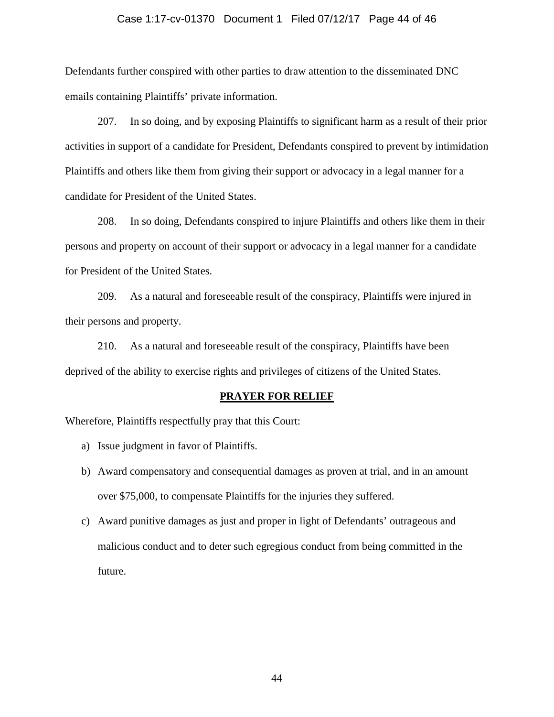### Case 1:17-cv-01370 Document 1 Filed 07/12/17 Page 44 of 46

Defendants further conspired with other parties to draw attention to the disseminated DNC emails containing Plaintiffs' private information.

207. In so doing, and by exposing Plaintiffs to significant harm as a result of their prior activities in support of a candidate for President, Defendants conspired to prevent by intimidation Plaintiffs and others like them from giving their support or advocacy in a legal manner for a candidate for President of the United States.

208. In so doing, Defendants conspired to injure Plaintiffs and others like them in their persons and property on account of their support or advocacy in a legal manner for a candidate for President of the United States.

209. As a natural and foreseeable result of the conspiracy, Plaintiffs were injured in their persons and property.

210. As a natural and foreseeable result of the conspiracy, Plaintiffs have been deprived of the ability to exercise rights and privileges of citizens of the United States.

#### **PRAYER FOR RELIEF**

Wherefore, Plaintiffs respectfully pray that this Court:

- a) Issue judgment in favor of Plaintiffs.
- b) Award compensatory and consequential damages as proven at trial, and in an amount over \$75,000, to compensate Plaintiffs for the injuries they suffered.
- c) Award punitive damages as just and proper in light of Defendants' outrageous and malicious conduct and to deter such egregious conduct from being committed in the future.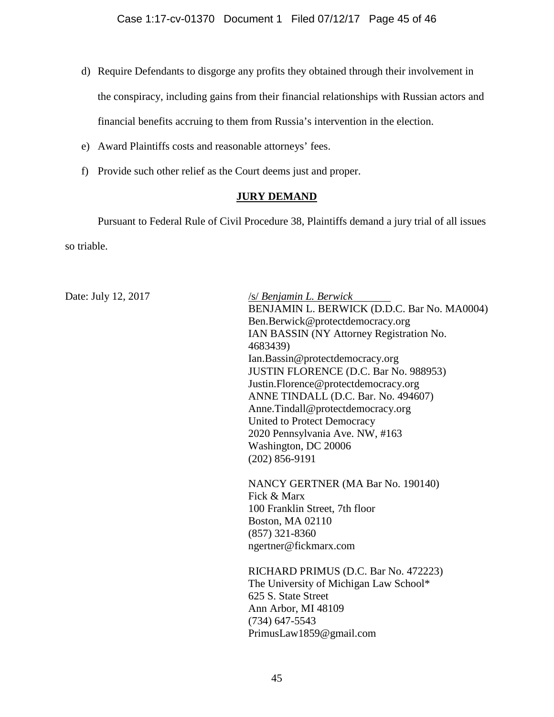- d) Require Defendants to disgorge any profits they obtained through their involvement in the conspiracy, including gains from their financial relationships with Russian actors and financial benefits accruing to them from Russia's intervention in the election.
- e) Award Plaintiffs costs and reasonable attorneys' fees.
- f) Provide such other relief as the Court deems just and proper.

## **JURY DEMAND**

Pursuant to Federal Rule of Civil Procedure 38, Plaintiffs demand a jury trial of all issues so triable.

Date: July 12, 2017 /s/ *Benjamin L. Berwick* BENJAMIN L. BERWICK (D.D.C. Bar No. MA0004) Ben.Berwick@protectdemocracy.org IAN BASSIN (NY Attorney Registration No. 4683439) Ian.Bassin@protectdemocracy.org JUSTIN FLORENCE (D.C. Bar No. 988953) Justin.Florence@protectdemocracy.org ANNE TINDALL (D.C. Bar. No. 494607) Anne.Tindall@protectdemocracy.org United to Protect Democracy 2020 Pennsylvania Ave. NW, #163 Washington, DC 20006 (202) 856-9191 NANCY GERTNER (MA Bar No. 190140) Fick & Marx 100 Franklin Street, 7th floor

Boston, MA 02110 (857) 321-8360 ngertner@fickmarx.com

RICHARD PRIMUS (D.C. Bar No. 472223) The University of Michigan Law School\* 625 S. State Street Ann Arbor, MI 48109 (734) 647-5543 PrimusLaw1859@gmail.com